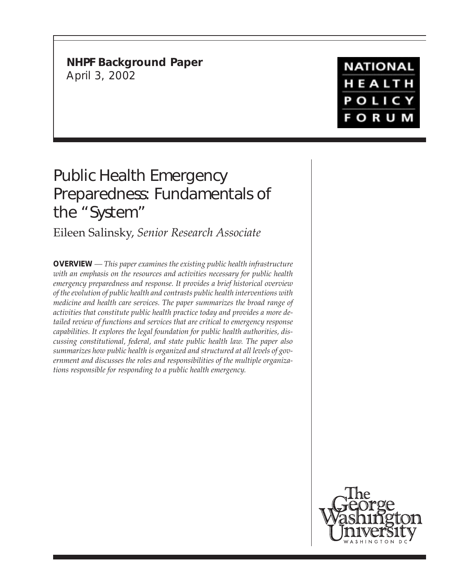**NHPF Background Paper** April 3, 2002

# **NATIONAL** HEALTH **POLICY FORUM**

# Public Health Emergency Preparedness: Fundamentals of the "System"

Eileen Salinsky, *Senior Research Associate*

**OVERVIEW** *— This paper examines the existing public health infrastructure with an emphasis on the resources and activities necessary for public health emergency preparedness and response. It provides a brief historical overview of the evolution of public health and contrasts public health interventions with medicine and health care services. The paper summarizes the broad range of activities that constitute public health practice today and provides a more detailed review of functions and services that are critical to emergency response capabilities. It explores the legal foundation for public health authorities, discussing constitutional, federal, and state public health law. The paper also summarizes how public health is organized and structured at all levels of government and discusses the roles and responsibilities of the multiple organizations responsible for responding to a public health emergency.*

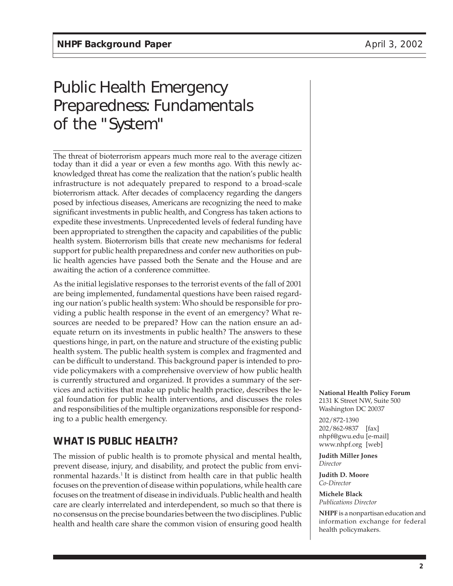# Public Health Emergency Preparedness: Fundamentals of the "System"

The threat of bioterrorism appears much more real to the average citizen today than it did a year or even a few months ago. With this newly acknowledged threat has come the realization that the nation's public health infrastructure is not adequately prepared to respond to a broad-scale bioterrorism attack. After decades of complacency regarding the dangers posed by infectious diseases, Americans are recognizing the need to make significant investments in public health, and Congress has taken actions to expedite these investments. Unprecedented levels of federal funding have been appropriated to strengthen the capacity and capabilities of the public health system. Bioterrorism bills that create new mechanisms for federal support for public health preparedness and confer new authorities on public health agencies have passed both the Senate and the House and are awaiting the action of a conference committee.

As the initial legislative responses to the terrorist events of the fall of 2001 are being implemented, fundamental questions have been raised regarding our nation's public health system: Who should be responsible for providing a public health response in the event of an emergency? What resources are needed to be prepared? How can the nation ensure an adequate return on its investments in public health? The answers to these questions hinge, in part, on the nature and structure of the existing public health system. The public health system is complex and fragmented and can be difficult to understand. This background paper is intended to provide policymakers with a comprehensive overview of how public health is currently structured and organized. It provides a summary of the services and activities that make up public health practice, describes the legal foundation for public health interventions, and discusses the roles and responsibilities of the multiple organizations responsible for responding to a public health emergency.

# **WHAT IS PUBLIC HEALTH?**

The mission of public health is to promote physical and mental health, prevent disease, injury, and disability, and protect the public from environmental hazards.<sup>1</sup> It is distinct from health care in that public health focuses on the prevention of disease within populations, while health care focuses on the treatment of disease in individuals. Public health and health care are clearly interrelated and interdependent, so much so that there is no consensus on the precise boundaries between the two disciplines. Public health and health care share the common vision of ensuring good health **National Health Policy Forum** 2131 K Street NW, Suite 500 Washington DC 20037

202/872-1390 202/862-9837 [fax] nhpf@gwu.edu [e-mail] www.nhpf.org [web]

**Judith Miller Jones** *Director*

**Judith D. Moore** *Co-Director*

**Michele Black** *Publications Director*

**NHPF** is a nonpartisan education and information exchange for federal health policymakers.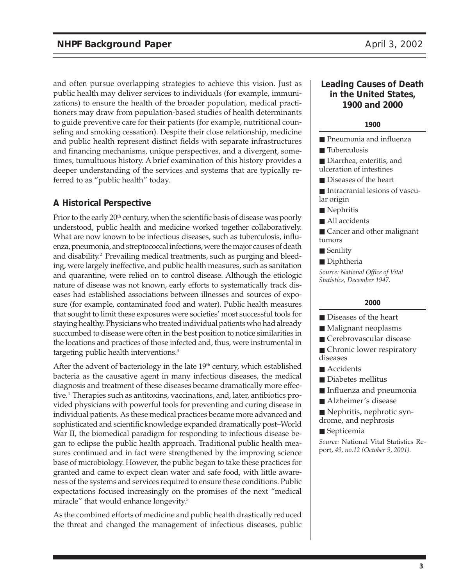and often pursue overlapping strategies to achieve this vision. Just as public health may deliver services to individuals (for example, immunizations) to ensure the health of the broader population, medical practitioners may draw from population-based studies of health determinants to guide preventive care for their patients (for example, nutritional counseling and smoking cessation). Despite their close relationship, medicine and public health represent distinct fields with separate infrastructures and financing mechanisms, unique perspectives, and a divergent, sometimes, tumultuous history. A brief examination of this history provides a deeper understanding of the services and systems that are typically referred to as "public health" today.

### **A Historical Perspective**

Prior to the early 20<sup>th</sup> century, when the scientific basis of disease was poorly understood, public health and medicine worked together collaboratively. What are now known to be infectious diseases, such as tuberculosis, influenza, pneumonia, and streptococcal infections, were the major causes of death and disability.<sup>2</sup> Prevailing medical treatments, such as purging and bleeding, were largely ineffective, and public health measures, such as sanitation and quarantine, were relied on to control disease. Although the etiologic nature of disease was not known, early efforts to systematically track diseases had established associations between illnesses and sources of exposure (for example, contaminated food and water). Public health measures that sought to limit these exposures were societies' most successful tools for staying healthy. Physicians who treated individual patients who had already succumbed to disease were often in the best position to notice similarities in the locations and practices of those infected and, thus, were instrumental in targeting public health interventions.3

After the advent of bacteriology in the late  $19<sup>th</sup>$  century, which established bacteria as the causative agent in many infectious diseases, the medical diagnosis and treatment of these diseases became dramatically more effective.<sup>4</sup> Therapies such as antitoxins, vaccinations, and, later, antibiotics provided physicians with powerful tools for preventing and curing disease in individual patients. As these medical practices became more advanced and sophisticated and scientific knowledge expanded dramatically post–World War II, the biomedical paradigm for responding to infectious disease began to eclipse the public health approach. Traditional public health measures continued and in fact were strengthened by the improving science base of microbiology. However, the public began to take these practices for granted and came to expect clean water and safe food, with little awareness of the systems and services required to ensure these conditions. Public expectations focused increasingly on the promises of the next "medical miracle" that would enhance longevity.<sup>5</sup>

As the combined efforts of medicine and public health drastically reduced the threat and changed the management of infectious diseases, public

#### **Leading Causes of Death in the United States, 1900 and 2000**

#### **1900**

■ Pneumonia and influenza

■ Tuberculosis

■ Diarrhea, enteritis, and ulceration of intestines

■ Diseases of the heart

■ Intracranial lesions of vascular origin

- Nephritis
- All accidents
- Cancer and other malignant tumors
- Senility
- Diphtheria

*Source: National Office of Vital Statistics, December 1947.*

#### **2000**

- Diseases of the heart
- Malignant neoplasms
- Cerebrovascular disease
- Chronic lower respiratory diseases
- Accidents
- Diabetes mellitus
- Influenza and pneumonia
- Alzheimer's disease
- Nephritis, nephrotic syndrome, and nephrosis
- Septicemia

*Source:* National Vital Statistics Report, *49, no.12 (October 9, 2001).*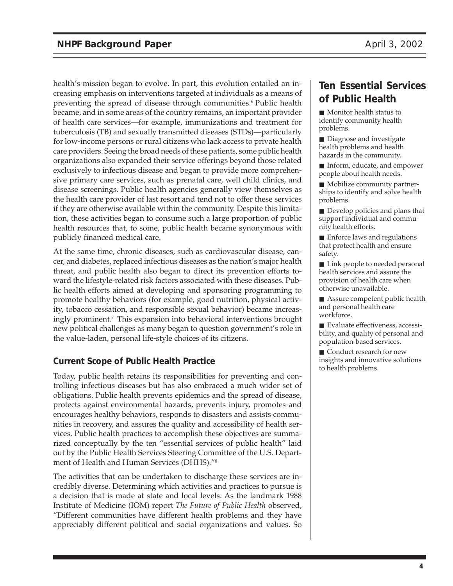health's mission began to evolve. In part, this evolution entailed an increasing emphasis on interventions targeted at individuals as a means of preventing the spread of disease through communities.<sup>6</sup> Public health became, and in some areas of the country remains, an important provider of health care services—for example, immunizations and treatment for tuberculosis (TB) and sexually transmitted diseases (STDs)—particularly for low-income persons or rural citizens who lack access to private health care providers. Seeing the broad needs of these patients, some public health organizations also expanded their service offerings beyond those related exclusively to infectious disease and began to provide more comprehensive primary care services, such as prenatal care, well child clinics, and disease screenings. Public health agencies generally view themselves as the health care provider of last resort and tend not to offer these services if they are otherwise available within the community. Despite this limitation, these activities began to consume such a large proportion of public health resources that, to some, public health became synonymous with publicly financed medical care.

At the same time, chronic diseases, such as cardiovascular disease, cancer, and diabetes, replaced infectious diseases as the nation's major health threat, and public health also began to direct its prevention efforts toward the lifestyle-related risk factors associated with these diseases. Public health efforts aimed at developing and sponsoring programming to promote healthy behaviors (for example, good nutrition, physical activity, tobacco cessation, and responsible sexual behavior) became increasingly prominent.7 This expansion into behavioral interventions brought new political challenges as many began to question government's role in the value-laden, personal life-style choices of its citizens.

### **Current Scope of Public Health Practice**

Today, public health retains its responsibilities for preventing and controlling infectious diseases but has also embraced a much wider set of obligations. Public health prevents epidemics and the spread of disease, protects against environmental hazards, prevents injury, promotes and encourages healthy behaviors, responds to disasters and assists communities in recovery, and assures the quality and accessibility of health services. Public health practices to accomplish these objectives are summarized conceptually by the ten "essential services of public health" laid out by the Public Health Services Steering Committee of the U.S. Department of Health and Human Services (DHHS)."8

The activities that can be undertaken to discharge these services are incredibly diverse. Determining which activities and practices to pursue is a decision that is made at state and local levels. As the landmark 1988 Institute of Medicine (IOM) report *The Future of Public Health* observed, "Different communities have different health problems and they have appreciably different political and social organizations and values. So

# **Ten Essential Services of Public Health**

■ Monitor health status to identify community health problems.

■ Diagnose and investigate health problems and health hazards in the community.

■ Inform, educate, and empower people about health needs.

■ Mobilize community partnerships to identify and solve health problems.

■ Develop policies and plans that support individual and community health efforts.

■ Enforce laws and regulations that protect health and ensure safety.

■ Link people to needed personal health services and assure the provision of health care when otherwise unavailable.

■ Assure competent public health and personal health care workforce.

■ Evaluate effectiveness, accessibility, and quality of personal and population-based services.

■ Conduct research for new insights and innovative solutions to health problems.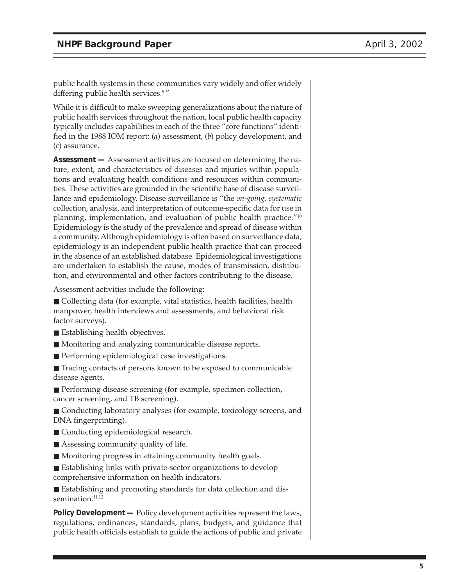public health systems in these communities vary widely and offer widely differing public health services.<sup>9</sup>"

While it is difficult to make sweeping generalizations about the nature of public health services throughout the nation, local public health capacity typically includes capabilities in each of the three "core functions" identified in the 1988 IOM report: (*a*) assessment, (*b*) policy development, and (*c*) assurance.

**Assessment —** Assessment activities are focused on determining the nature, extent, and characteristics of diseases and injuries within populations and evaluating health conditions and resources within communities. These activities are grounded in the scientific base of disease surveillance and epidemiology. Disease surveillance is "the *on-going, systematic* collection, analysis, and interpretation of outcome-specific data for use in planning, implementation, and evaluation of public health practice."10 Epidemiology is the study of the prevalence and spread of disease within a community. Although epidemiology is often based on surveillance data, epidemiology is an independent public health practice that can proceed in the absence of an established database. Epidemiological investigations are undertaken to establish the cause, modes of transmission, distribution, and environmental and other factors contributing to the disease.

Assessment activities include the following:

■ Collecting data (for example, vital statistics, health facilities, health manpower, health interviews and assessments, and behavioral risk factor surveys).

- Establishing health objectives.
- Monitoring and analyzing communicable disease reports.
- Performing epidemiological case investigations.

■ Tracing contacts of persons known to be exposed to communicable disease agents.

■ Performing disease screening (for example, specimen collection, cancer screening, and TB screening).

■ Conducting laboratory analyses (for example, toxicology screens, and DNA fingerprinting).

- Conducting epidemiological research.
- Assessing community quality of life.
- Monitoring progress in attaining community health goals.
- Establishing links with private-sector organizations to develop comprehensive information on health indicators.

■ Establishing and promoting standards for data collection and dissemination.<sup>11,12</sup>

**Policy Development —** Policy development activities represent the laws, regulations, ordinances, standards, plans, budgets, and guidance that public health officials establish to guide the actions of public and private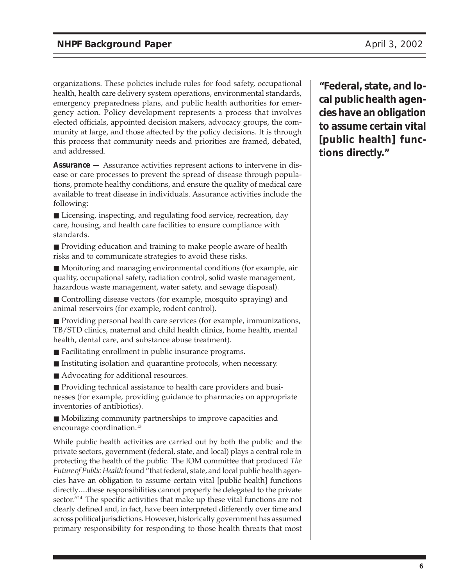organizations. These policies include rules for food safety, occupational health, health care delivery system operations, environmental standards, emergency preparedness plans, and public health authorities for emergency action. Policy development represents a process that involves elected officials, appointed decision makers, advocacy groups, the community at large, and those affected by the policy decisions. It is through this process that community needs and priorities are framed, debated, and addressed.

**Assurance —** Assurance activities represent actions to intervene in disease or care processes to prevent the spread of disease through populations, promote healthy conditions, and ensure the quality of medical care available to treat disease in individuals. Assurance activities include the following:

■ Licensing, inspecting, and regulating food service, recreation, day care, housing, and health care facilities to ensure compliance with standards.

■ Providing education and training to make people aware of health risks and to communicate strategies to avoid these risks.

■ Monitoring and managing environmental conditions (for example, air quality, occupational safety, radiation control, solid waste management, hazardous waste management, water safety, and sewage disposal).

■ Controlling disease vectors (for example, mosquito spraying) and animal reservoirs (for example, rodent control).

■ Providing personal health care services (for example, immunizations, TB/STD clinics, maternal and child health clinics, home health, mental health, dental care, and substance abuse treatment).

■ Facilitating enrollment in public insurance programs.

- Instituting isolation and quarantine protocols, when necessary.
- Advocating for additional resources.

■ Providing technical assistance to health care providers and businesses (for example, providing guidance to pharmacies on appropriate inventories of antibiotics).

■ Mobilizing community partnerships to improve capacities and encourage coordination.13

While public health activities are carried out by both the public and the private sectors, government (federal, state, and local) plays a central role in protecting the health of the public. The IOM committee that produced *The Future of Public Health* found "that federal, state, and local public health agencies have an obligation to assume certain vital [public health] functions directly....these responsibilities cannot properly be delegated to the private sector."<sup>14</sup> The specific activities that make up these vital functions are not clearly defined and, in fact, have been interpreted differently over time and across political jurisdictions. However, historically government has assumed primary responsibility for responding to those health threats that most

**"Federal, state, and local public health agencies have an obligation to assume certain vital [public health] functions directly."**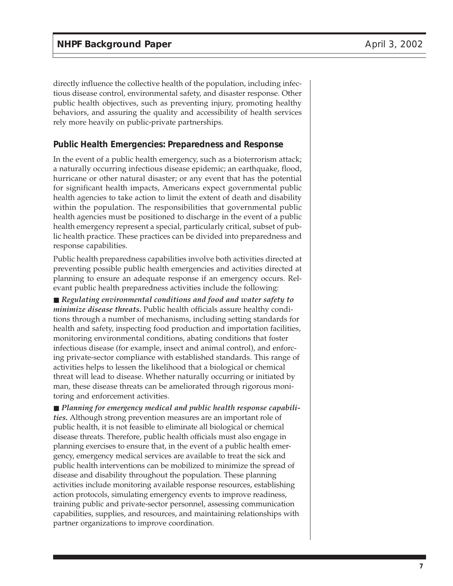directly influence the collective health of the population, including infectious disease control, environmental safety, and disaster response. Other public health objectives, such as preventing injury, promoting healthy behaviors, and assuring the quality and accessibility of health services rely more heavily on public-private partnerships.

#### **Public Health Emergencies: Preparedness and Response**

In the event of a public health emergency, such as a bioterrorism attack; a naturally occurring infectious disease epidemic; an earthquake, flood, hurricane or other natural disaster; or any event that has the potential for significant health impacts, Americans expect governmental public health agencies to take action to limit the extent of death and disability within the population. The responsibilities that governmental public health agencies must be positioned to discharge in the event of a public health emergency represent a special, particularly critical, subset of public health practice. These practices can be divided into preparedness and response capabilities.

Public health preparedness capabilities involve both activities directed at preventing possible public health emergencies and activities directed at planning to ensure an adequate response if an emergency occurs. Relevant public health preparedness activities include the following:

■ *Regulating environmental conditions and food and water safety to minimize disease threats.* Public health officials assure healthy conditions through a number of mechanisms, including setting standards for health and safety, inspecting food production and importation facilities, monitoring environmental conditions, abating conditions that foster infectious disease (for example, insect and animal control), and enforcing private-sector compliance with established standards. This range of activities helps to lessen the likelihood that a biological or chemical threat will lead to disease. Whether naturally occurring or initiated by man, these disease threats can be ameliorated through rigorous monitoring and enforcement activities.

■ *Planning for emergency medical and public health response capabilities.* Although strong prevention measures are an important role of public health, it is not feasible to eliminate all biological or chemical disease threats. Therefore, public health officials must also engage in planning exercises to ensure that, in the event of a public health emergency, emergency medical services are available to treat the sick and public health interventions can be mobilized to minimize the spread of disease and disability throughout the population. These planning activities include monitoring available response resources, establishing action protocols, simulating emergency events to improve readiness, training public and private-sector personnel, assessing communication capabilities, supplies, and resources, and maintaining relationships with partner organizations to improve coordination.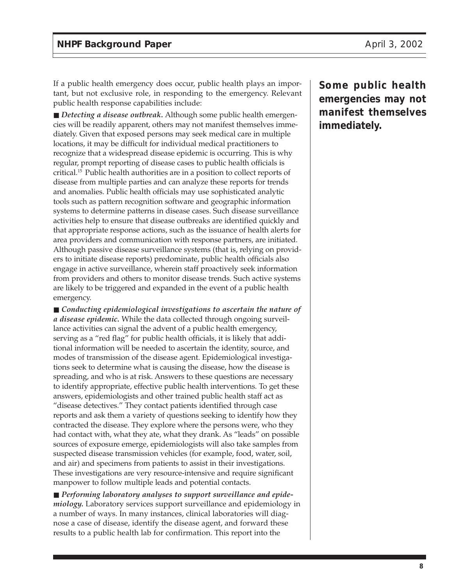If a public health emergency does occur, public health plays an important, but not exclusive role, in responding to the emergency. Relevant public health response capabilities include:

■ *Detecting a disease outbreak*. Although some public health emergencies will be readily apparent, others may not manifest themselves immediately. Given that exposed persons may seek medical care in multiple locations, it may be difficult for individual medical practitioners to recognize that a widespread disease epidemic is occurring. This is why regular, prompt reporting of disease cases to public health officials is critical.15 Public health authorities are in a position to collect reports of disease from multiple parties and can analyze these reports for trends and anomalies. Public health officials may use sophisticated analytic tools such as pattern recognition software and geographic information systems to determine patterns in disease cases. Such disease surveillance activities help to ensure that disease outbreaks are identified quickly and that appropriate response actions, such as the issuance of health alerts for area providers and communication with response partners, are initiated. Although passive disease surveillance systems (that is, relying on providers to initiate disease reports) predominate, public health officials also engage in active surveillance, wherein staff proactively seek information from providers and others to monitor disease trends. Such active systems are likely to be triggered and expanded in the event of a public health emergency.

■ *Conducting epidemiological investigations to ascertain the nature of a disease epidemic.* While the data collected through ongoing surveillance activities can signal the advent of a public health emergency, serving as a "red flag" for public health officials, it is likely that additional information will be needed to ascertain the identity, source, and modes of transmission of the disease agent. Epidemiological investigations seek to determine what is causing the disease, how the disease is spreading, and who is at risk. Answers to these questions are necessary to identify appropriate, effective public health interventions. To get these answers, epidemiologists and other trained public health staff act as "disease detectives." They contact patients identified through case reports and ask them a variety of questions seeking to identify how they contracted the disease. They explore where the persons were, who they had contact with, what they ate, what they drank. As "leads" on possible sources of exposure emerge, epidemiologists will also take samples from suspected disease transmission vehicles (for example, food, water, soil, and air) and specimens from patients to assist in their investigations. These investigations are very resource-intensive and require significant manpower to follow multiple leads and potential contacts.

■ Performing laboratory analyses to support surveillance and epide*miology.* Laboratory services support surveillance and epidemiology in a number of ways. In many instances, clinical laboratories will diagnose a case of disease, identify the disease agent, and forward these results to a public health lab for confirmation. This report into the

**Some public health emergencies may not manifest themselves immediately.**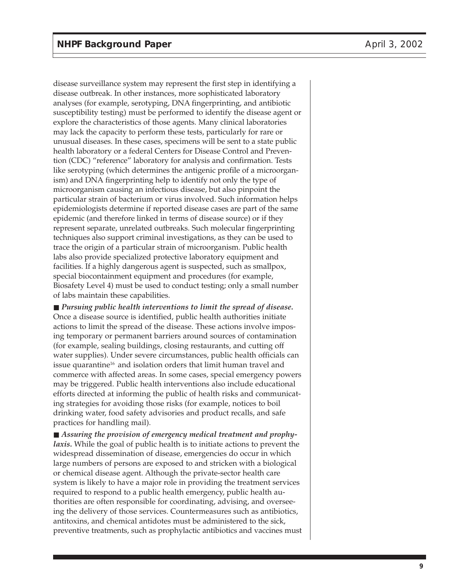disease surveillance system may represent the first step in identifying a disease outbreak. In other instances, more sophisticated laboratory analyses (for example, serotyping, DNA fingerprinting, and antibiotic susceptibility testing) must be performed to identify the disease agent or explore the characteristics of those agents. Many clinical laboratories may lack the capacity to perform these tests, particularly for rare or unusual diseases. In these cases, specimens will be sent to a state public health laboratory or a federal Centers for Disease Control and Prevention (CDC) "reference" laboratory for analysis and confirmation. Tests like serotyping (which determines the antigenic profile of a microorganism) and DNA fingerprinting help to identify not only the type of microorganism causing an infectious disease, but also pinpoint the particular strain of bacterium or virus involved. Such information helps epidemiologists determine if reported disease cases are part of the same epidemic (and therefore linked in terms of disease source) or if they represent separate, unrelated outbreaks. Such molecular fingerprinting techniques also support criminal investigations, as they can be used to trace the origin of a particular strain of microorganism. Public health labs also provide specialized protective laboratory equipment and facilities. If a highly dangerous agent is suspected, such as smallpox, special biocontainment equipment and procedures (for example, Biosafety Level 4) must be used to conduct testing; only a small number of labs maintain these capabilities.

■ *Pursuing public health interventions to limit the spread of disease.* Once a disease source is identified, public health authorities initiate actions to limit the spread of the disease. These actions involve imposing temporary or permanent barriers around sources of contamination (for example, sealing buildings, closing restaurants, and cutting off water supplies). Under severe circumstances, public health officials can issue quarantine<sup>16</sup> and isolation orders that limit human travel and commerce with affected areas. In some cases, special emergency powers may be triggered. Public health interventions also include educational efforts directed at informing the public of health risks and communicating strategies for avoiding those risks (for example, notices to boil drinking water, food safety advisories and product recalls, and safe practices for handling mail).

■ *Assuring the provision of emergency medical treatment and prophylaxis*. While the goal of public health is to initiate actions to prevent the widespread dissemination of disease, emergencies do occur in which large numbers of persons are exposed to and stricken with a biological or chemical disease agent. Although the private-sector health care system is likely to have a major role in providing the treatment services required to respond to a public health emergency, public health authorities are often responsible for coordinating, advising, and overseeing the delivery of those services. Countermeasures such as antibiotics, antitoxins, and chemical antidotes must be administered to the sick, preventive treatments, such as prophylactic antibiotics and vaccines must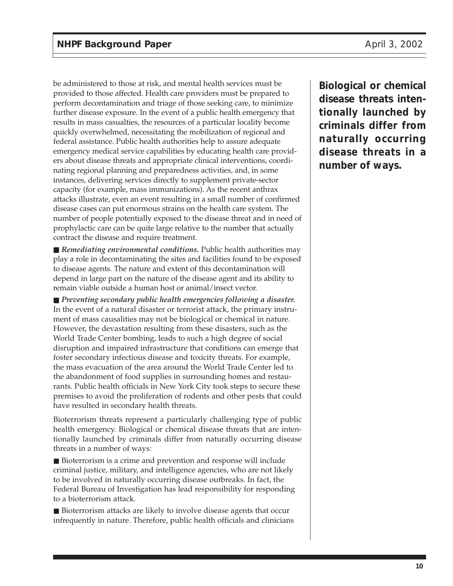be administered to those at risk, and mental health services must be provided to those affected. Health care providers must be prepared to perform decontamination and triage of those seeking care, to minimize further disease exposure. In the event of a public health emergency that results in mass casualties, the resources of a particular locality become quickly overwhelmed, necessitating the mobilization of regional and federal assistance. Public health authorities help to assure adequate emergency medical service capabilities by educating health care providers about disease threats and appropriate clinical interventions, coordinating regional planning and preparedness activities, and, in some instances, delivering services directly to supplement private-sector capacity (for example, mass immunizations). As the recent anthrax attacks illustrate, even an event resulting in a small number of confirmed disease cases can put enormous strains on the health care system. The number of people potentially exposed to the disease threat and in need of prophylactic care can be quite large relative to the number that actually contract the disease and require treatment.

■ *Remediating environmental conditions*. Public health authorities may play a role in decontaminating the sites and facilities found to be exposed to disease agents. The nature and extent of this decontamination will depend in large part on the nature of the disease agent and its ability to remain viable outside a human host or animal/insect vector.

■ *Preventing secondary public health emergencies following a disaster.* In the event of a natural disaster or terrorist attack, the primary instrument of mass causalities may not be biological or chemical in nature. However, the devastation resulting from these disasters, such as the World Trade Center bombing, leads to such a high degree of social disruption and impaired infrastructure that conditions can emerge that foster secondary infectious disease and toxicity threats. For example, the mass evacuation of the area around the World Trade Center led to the abandonment of food supplies in surrounding homes and restaurants. Public health officials in New York City took steps to secure these premises to avoid the proliferation of rodents and other pests that could have resulted in secondary health threats.

Bioterrorism threats represent a particularly challenging type of public health emergency. Biological or chemical disease threats that are intentionally launched by criminals differ from naturally occurring disease threats in a number of ways:

■ Bioterrorism is a crime and prevention and response will include criminal justice, military, and intelligence agencies, who are not likely to be involved in naturally occurring disease outbreaks. In fact, the Federal Bureau of Investigation has lead responsibility for responding to a bioterrorism attack.

■ Bioterrorism attacks are likely to involve disease agents that occur infrequently in nature. Therefore, public health officials and clinicians **Biological or chemical disease threats intentionally launched by criminals differ from naturally occurring disease threats in a number of ways.**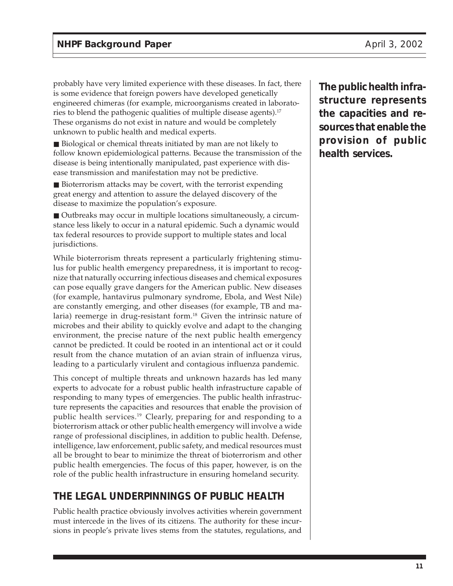probably have very limited experience with these diseases. In fact, there is some evidence that foreign powers have developed genetically engineered chimeras (for example, microorganisms created in laboratories to blend the pathogenic qualities of multiple disease agents).<sup>17</sup> These organisms do not exist in nature and would be completely unknown to public health and medical experts.

■ Biological or chemical threats initiated by man are not likely to follow known epidemiological patterns. Because the transmission of the disease is being intentionally manipulated, past experience with disease transmission and manifestation may not be predictive.

■ Bioterrorism attacks may be covert, with the terrorist expending great energy and attention to assure the delayed discovery of the disease to maximize the population's exposure.

■ Outbreaks may occur in multiple locations simultaneously, a circumstance less likely to occur in a natural epidemic. Such a dynamic would tax federal resources to provide support to multiple states and local jurisdictions.

While bioterrorism threats represent a particularly frightening stimulus for public health emergency preparedness, it is important to recognize that naturally occurring infectious diseases and chemical exposures can pose equally grave dangers for the American public. New diseases (for example, hantavirus pulmonary syndrome, Ebola, and West Nile) are constantly emerging, and other diseases (for example, TB and malaria) reemerge in drug-resistant form.<sup>18</sup> Given the intrinsic nature of microbes and their ability to quickly evolve and adapt to the changing environment, the precise nature of the next public health emergency cannot be predicted. It could be rooted in an intentional act or it could result from the chance mutation of an avian strain of influenza virus, leading to a particularly virulent and contagious influenza pandemic.

This concept of multiple threats and unknown hazards has led many experts to advocate for a robust public health infrastructure capable of responding to many types of emergencies. The public health infrastructure represents the capacities and resources that enable the provision of public health services.19 Clearly, preparing for and responding to a bioterrorism attack or other public health emergency will involve a wide range of professional disciplines, in addition to public health. Defense, intelligence, law enforcement, public safety, and medical resources must all be brought to bear to minimize the threat of bioterrorism and other public health emergencies. The focus of this paper, however, is on the role of the public health infrastructure in ensuring homeland security.

# **THE LEGAL UNDERPINNINGS OF PUBLIC HEALTH**

Public health practice obviously involves activities wherein government must intercede in the lives of its citizens. The authority for these incursions in people's private lives stems from the statutes, regulations, and

**The public health infrastructure represents the capacities and resources that enable the provision of public health services.**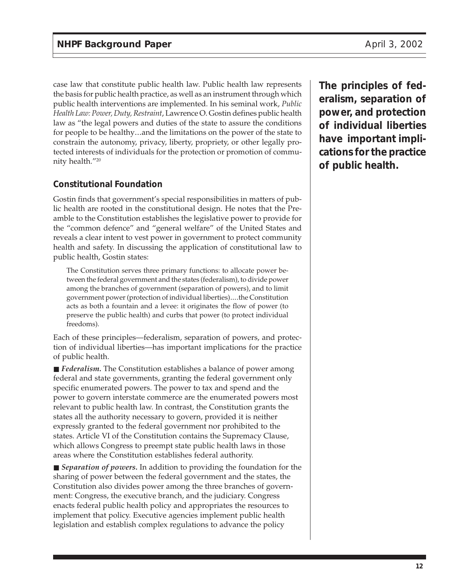case law that constitute public health law. Public health law represents the basis for public health practice, as well as an instrument through which public health interventions are implemented. In his seminal work, *Public Health Law: Power, Duty, Restraint*, Lawrence O. Gostin defines public health law as "the legal powers and duties of the state to assure the conditions for people to be healthy...and the limitations on the power of the state to constrain the autonomy, privacy, liberty, propriety, or other legally protected interests of individuals for the protection or promotion of community health."20

### **Constitutional Foundation**

Gostin finds that government's special responsibilities in matters of public health are rooted in the constitutional design. He notes that the Preamble to the Constitution establishes the legislative power to provide for the "common defence" and "general welfare" of the United States and reveals a clear intent to vest power in government to protect community health and safety. In discussing the application of constitutional law to public health, Gostin states:

The Constitution serves three primary functions: to allocate power between the federal government and the states (federalism), to divide power among the branches of government (separation of powers), and to limit government power (protection of individual liberties)....the Constitution acts as both a fountain and a levee: it originates the flow of power (to preserve the public health) and curbs that power (to protect individual freedoms).

Each of these principles—federalism, separation of powers, and protection of individual liberties—has important implications for the practice of public health.

■ *Federalism*. The Constitution establishes a balance of power among federal and state governments, granting the federal government only specific enumerated powers. The power to tax and spend and the power to govern interstate commerce are the enumerated powers most relevant to public health law. In contrast, the Constitution grants the states all the authority necessary to govern, provided it is neither expressly granted to the federal government nor prohibited to the states. Article VI of the Constitution contains the Supremacy Clause, which allows Congress to preempt state public health laws in those areas where the Constitution establishes federal authority.

■ *Separation of powers*. In addition to providing the foundation for the sharing of power between the federal government and the states, the Constitution also divides power among the three branches of government: Congress, the executive branch, and the judiciary. Congress enacts federal public health policy and appropriates the resources to implement that policy. Executive agencies implement public health legislation and establish complex regulations to advance the policy

**The principles of federalism, separation of power, and protection of individual liberties have important implications for the practice of public health.**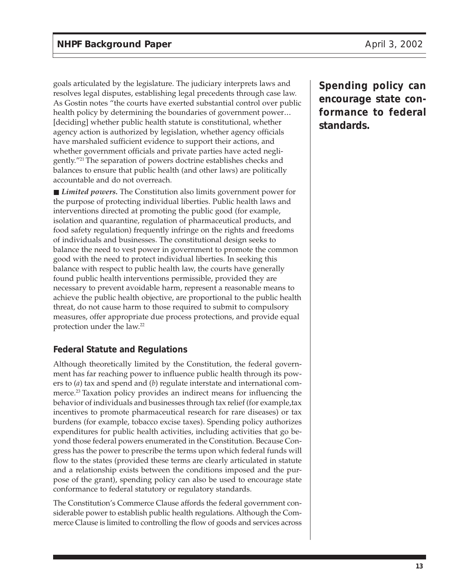goals articulated by the legislature. The judiciary interprets laws and resolves legal disputes, establishing legal precedents through case law. As Gostin notes "the courts have exerted substantial control over public health policy by determining the boundaries of government power... [deciding] whether public health statute is constitutional, whether agency action is authorized by legislation, whether agency officials have marshaled sufficient evidence to support their actions, and whether government officials and private parties have acted negligently."21 The separation of powers doctrine establishes checks and balances to ensure that public health (and other laws) are politically accountable and do not overreach.

■ *Limited powers*. The Constitution also limits government power for the purpose of protecting individual liberties. Public health laws and interventions directed at promoting the public good (for example, isolation and quarantine, regulation of pharmaceutical products, and food safety regulation) frequently infringe on the rights and freedoms of individuals and businesses. The constitutional design seeks to balance the need to vest power in government to promote the common good with the need to protect individual liberties. In seeking this balance with respect to public health law, the courts have generally found public health interventions permissible, provided they are necessary to prevent avoidable harm, represent a reasonable means to achieve the public health objective, are proportional to the public health threat, do not cause harm to those required to submit to compulsory measures, offer appropriate due process protections, and provide equal protection under the law.<sup>22</sup>

# **Federal Statute and Regulations**

Although theoretically limited by the Constitution, the federal government has far reaching power to influence public health through its powers to (*a*) tax and spend and (*b*) regulate interstate and international commerce.<sup>23</sup> Taxation policy provides an indirect means for influencing the behavior of individuals and businesses through tax relief (for example,tax incentives to promote pharmaceutical research for rare diseases) or tax burdens (for example, tobacco excise taxes). Spending policy authorizes expenditures for public health activities, including activities that go beyond those federal powers enumerated in the Constitution. Because Congress has the power to prescribe the terms upon which federal funds will flow to the states (provided these terms are clearly articulated in statute and a relationship exists between the conditions imposed and the purpose of the grant), spending policy can also be used to encourage state conformance to federal statutory or regulatory standards.

The Constitution's Commerce Clause affords the federal government considerable power to establish public health regulations. Although the Commerce Clause is limited to controlling the flow of goods and services across **Spending policy can encourage state conformance to federal standards.**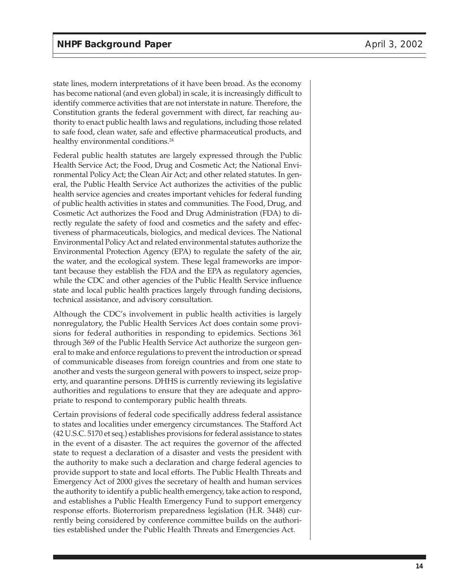state lines, modern interpretations of it have been broad. As the economy has become national (and even global) in scale, it is increasingly difficult to identify commerce activities that are not interstate in nature. Therefore, the Constitution grants the federal government with direct, far reaching authority to enact public health laws and regulations, including those related to safe food, clean water, safe and effective pharmaceutical products, and healthy environmental conditions.<sup>24</sup>

Federal public health statutes are largely expressed through the Public Health Service Act; the Food, Drug and Cosmetic Act; the National Environmental Policy Act; the Clean Air Act; and other related statutes. In general, the Public Health Service Act authorizes the activities of the public health service agencies and creates important vehicles for federal funding of public health activities in states and communities. The Food, Drug, and Cosmetic Act authorizes the Food and Drug Administration (FDA) to directly regulate the safety of food and cosmetics and the safety and effectiveness of pharmaceuticals, biologics, and medical devices. The National Environmental Policy Act and related environmental statutes authorize the Environmental Protection Agency (EPA) to regulate the safety of the air, the water, and the ecological system. These legal frameworks are important because they establish the FDA and the EPA as regulatory agencies, while the CDC and other agencies of the Public Health Service influence state and local public health practices largely through funding decisions, technical assistance, and advisory consultation.

Although the CDC's involvement in public health activities is largely nonregulatory, the Public Health Services Act does contain some provisions for federal authorities in responding to epidemics. Sections 361 through 369 of the Public Health Service Act authorize the surgeon general to make and enforce regulations to prevent the introduction or spread of communicable diseases from foreign countries and from one state to another and vests the surgeon general with powers to inspect, seize property, and quarantine persons. DHHS is currently reviewing its legislative authorities and regulations to ensure that they are adequate and appropriate to respond to contemporary public health threats.

Certain provisions of federal code specifically address federal assistance to states and localities under emergency circumstances. The Stafford Act (42 U.S.C. 5170 et seq.) establishes provisions for federal assistance to states in the event of a disaster. The act requires the governor of the affected state to request a declaration of a disaster and vests the president with the authority to make such a declaration and charge federal agencies to provide support to state and local efforts. The Public Health Threats and Emergency Act of 2000 gives the secretary of health and human services the authority to identify a public health emergency, take action to respond, and establishes a Public Health Emergency Fund to support emergency response efforts. Bioterrorism preparedness legislation (H.R. 3448) currently being considered by conference committee builds on the authorities established under the Public Health Threats and Emergencies Act.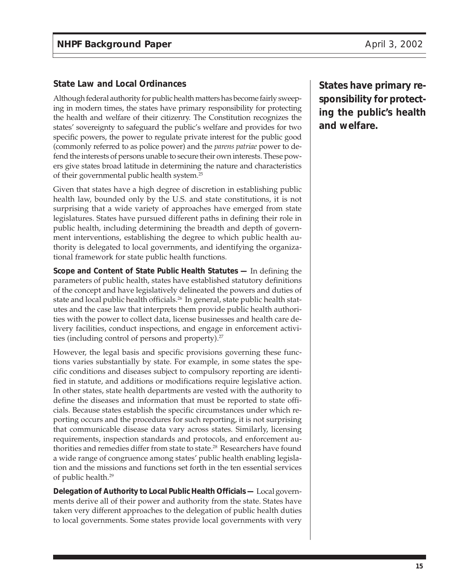### **State Law and Local Ordinances**

Although federal authority for public health matters has become fairly sweeping in modern times, the states have primary responsibility for protecting the health and welfare of their citizenry. The Constitution recognizes the states' sovereignty to safeguard the public's welfare and provides for two specific powers, the power to regulate private interest for the public good (commonly referred to as police power) and the *parens patriae* power to defend the interests of persons unable to secure their own interests. These powers give states broad latitude in determining the nature and characteristics of their governmental public health system.25

Given that states have a high degree of discretion in establishing public health law, bounded only by the U.S. and state constitutions, it is not surprising that a wide variety of approaches have emerged from state legislatures. States have pursued different paths in defining their role in public health, including determining the breadth and depth of government interventions, establishing the degree to which public health authority is delegated to local governments, and identifying the organizational framework for state public health functions.

**Scope and Content of State Public Health Statutes —** In defining the parameters of public health, states have established statutory definitions of the concept and have legislatively delineated the powers and duties of state and local public health officials.<sup>26</sup> In general, state public health statutes and the case law that interprets them provide public health authorities with the power to collect data, license businesses and health care delivery facilities, conduct inspections, and engage in enforcement activities (including control of persons and property).<sup>27</sup>

However, the legal basis and specific provisions governing these functions varies substantially by state. For example, in some states the specific conditions and diseases subject to compulsory reporting are identified in statute, and additions or modifications require legislative action. In other states, state health departments are vested with the authority to define the diseases and information that must be reported to state officials. Because states establish the specific circumstances under which reporting occurs and the procedures for such reporting, it is not surprising that communicable disease data vary across states. Similarly, licensing requirements, inspection standards and protocols, and enforcement authorities and remedies differ from state to state.<sup>28</sup> Researchers have found a wide range of congruence among states' public health enabling legislation and the missions and functions set forth in the ten essential services of public health.<sup>29</sup>

**Delegation of Authority to Local Public Health Officials —** Local governments derive all of their power and authority from the state. States have taken very different approaches to the delegation of public health duties to local governments. Some states provide local governments with very **States have primary responsibility for protecting the public's health and welfare.**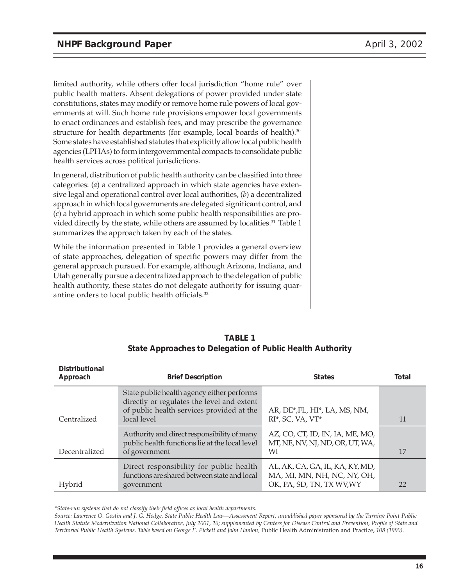limited authority, while others offer local jurisdiction "home rule" over public health matters. Absent delegations of power provided under state constitutions, states may modify or remove home rule powers of local governments at will. Such home rule provisions empower local governments to enact ordinances and establish fees, and may prescribe the governance structure for health departments (for example, local boards of health).<sup>30</sup> Some states have established statutes that explicitly allow local public health agencies (LPHAs) to form intergovernmental compacts to consolidate public health services across political jurisdictions.

In general, distribution of public health authority can be classified into three categories: (*a*) a centralized approach in which state agencies have extensive legal and operational control over local authorities, (*b*) a decentralized approach in which local governments are delegated significant control, and (*c*) a hybrid approach in which some public health responsibilities are provided directly by the state, while others are assumed by localities.<sup>31</sup> Table 1 summarizes the approach taken by each of the states.

While the information presented in Table 1 provides a general overview of state approaches, delegation of specific powers may differ from the general approach pursued. For example, although Arizona, Indiana, and Utah generally pursue a decentralized approach to the delegation of public health authority, these states do not delegate authority for issuing quarantine orders to local public health officials.32

| <b>Distributional</b><br>Approach | <b>Brief Description</b>                                                                                                                             | <b>States</b>                                                                               | Total |
|-----------------------------------|------------------------------------------------------------------------------------------------------------------------------------------------------|---------------------------------------------------------------------------------------------|-------|
| Centralized                       | State public health agency either performs<br>directly or regulates the level and extent<br>of public health services provided at the<br>local level | AR, DE*, FL, HI*, LA, MS, NM,<br>$RI^*$ , SC, VA, VT $^*$                                   | 11    |
| Decentralized                     | Authority and direct responsibility of many<br>public health functions lie at the local level<br>of government                                       | AZ, CO, CT, ID, IN, IA, ME, MO,<br>MT, NE, NV, NJ, ND, OR, UT, WA,<br>WІ                    | 17    |
| Hybrid                            | Direct responsibility for public health<br>functions are shared between state and local<br>government                                                | AL, AK, CA, GA, IL, KA, KY, MD,<br>MA, MI, MN, NH, NC, NY, OH,<br>OK, PA, SD, TN, TX WV, WY | 22    |

#### **TABLE 1 State Approaches to Delegation of Public Health Authority**

*\*State-run systems that do not classify their field offices as local health departments.*

*Source: Lawrence O. Gostin and J. G. Hodge, State Public Health Law—Assessment Report, unpublished paper sponsored by the Turning Point Public Health Statute Modernization National Collaborative, July 2001, 26; supplemented by Centers for Disease Control and Prevention, Profile of State and Territorial Public Health Systems. Table based on George E. Pickett and John Hanlon,* Public Health Administration and Practice, *108 (1990).*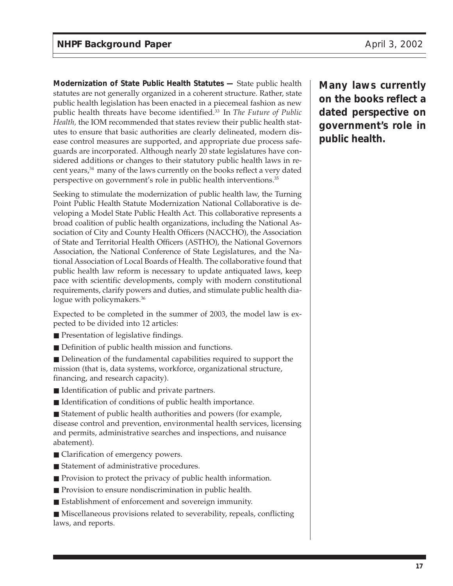**Modernization of State Public Health Statutes —** State public health statutes are not generally organized in a coherent structure. Rather, state public health legislation has been enacted in a piecemeal fashion as new public health threats have become identified.33 In *The Future of Public Health,* the IOM recommended that states review their public health statutes to ensure that basic authorities are clearly delineated, modern disease control measures are supported, and appropriate due process safeguards are incorporated. Although nearly 20 state legislatures have considered additions or changes to their statutory public health laws in recent years,<sup>34</sup> many of the laws currently on the books reflect a very dated perspective on government's role in public health interventions.<sup>35</sup>

Seeking to stimulate the modernization of public health law, the Turning Point Public Health Statute Modernization National Collaborative is developing a Model State Public Health Act. This collaborative represents a broad coalition of public health organizations, including the National Association of City and County Health Officers (NACCHO), the Association of State and Territorial Health Officers (ASTHO), the National Governors Association, the National Conference of State Legislatures, and the National Association of Local Boards of Health. The collaborative found that public health law reform is necessary to update antiquated laws, keep pace with scientific developments, comply with modern constitutional requirements, clarify powers and duties, and stimulate public health dialogue with policymakers.<sup>36</sup>

Expected to be completed in the summer of 2003, the model law is expected to be divided into 12 articles:

- Presentation of legislative findings.
- Definition of public health mission and functions.

■ Delineation of the fundamental capabilities required to support the mission (that is, data systems, workforce, organizational structure, financing, and research capacity).

- Identification of public and private partners.
- Identification of conditions of public health importance.

■ Statement of public health authorities and powers (for example, disease control and prevention, environmental health services, licensing and permits, administrative searches and inspections, and nuisance abatement).

- Clarification of emergency powers.
- Statement of administrative procedures.
- Provision to protect the privacy of public health information.
- Provision to ensure nondiscrimination in public health.
- Establishment of enforcement and sovereign immunity.

■ Miscellaneous provisions related to severability, repeals, conflicting laws, and reports.

**Many laws currently on the books reflect a dated perspective on government's role in public health.**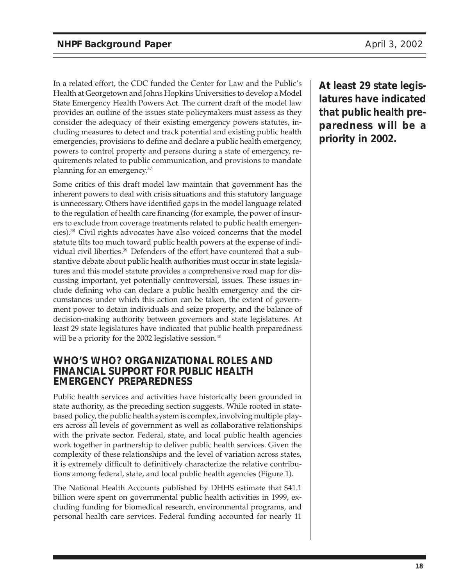In a related effort, the CDC funded the Center for Law and the Public's Health at Georgetown and Johns Hopkins Universities to develop a Model State Emergency Health Powers Act. The current draft of the model law provides an outline of the issues state policymakers must assess as they consider the adequacy of their existing emergency powers statutes, including measures to detect and track potential and existing public health emergencies, provisions to define and declare a public health emergency, powers to control property and persons during a state of emergency, requirements related to public communication, and provisions to mandate planning for an emergency.37

Some critics of this draft model law maintain that government has the inherent powers to deal with crisis situations and this statutory language is unnecessary. Others have identified gaps in the model language related to the regulation of health care financing (for example, the power of insurers to exclude from coverage treatments related to public health emergencies).38 Civil rights advocates have also voiced concerns that the model statute tilts too much toward public health powers at the expense of individual civil liberties.<sup>39</sup> Defenders of the effort have countered that a substantive debate about public health authorities must occur in state legislatures and this model statute provides a comprehensive road map for discussing important, yet potentially controversial, issues. These issues include defining who can declare a public health emergency and the circumstances under which this action can be taken, the extent of government power to detain individuals and seize property, and the balance of decision-making authority between governors and state legislatures. At least 29 state legislatures have indicated that public health preparedness will be a priority for the 2002 legislative session.<sup>40</sup>

### **WHO'S WHO? ORGANIZATIONAL ROLES AND FINANCIAL SUPPORT FOR PUBLIC HEALTH EMERGENCY PREPAREDNESS**

Public health services and activities have historically been grounded in state authority, as the preceding section suggests. While rooted in statebased policy, the public health system is complex, involving multiple players across all levels of government as well as collaborative relationships with the private sector. Federal, state, and local public health agencies work together in partnership to deliver public health services. Given the complexity of these relationships and the level of variation across states, it is extremely difficult to definitively characterize the relative contributions among federal, state, and local public health agencies (Figure 1).

The National Health Accounts published by DHHS estimate that \$41.1 billion were spent on governmental public health activities in 1999, excluding funding for biomedical research, environmental programs, and personal health care services. Federal funding accounted for nearly 11

**At least 29 state legislatures have indicated that public health preparedness will be a priority in 2002.**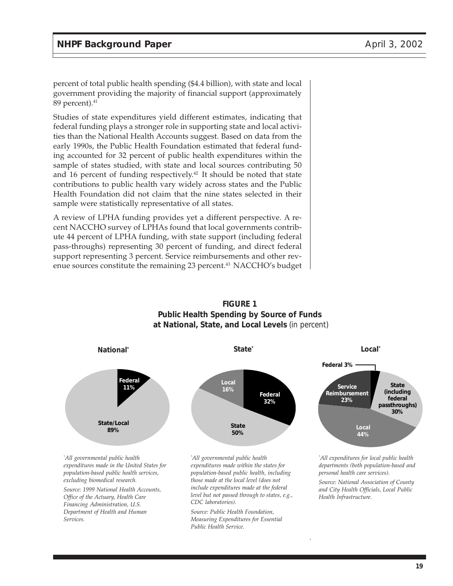percent of total public health spending (\$4.4 billion), with state and local government providing the majority of financial support (approximately 89 percent). $41$ 

Studies of state expenditures yield different estimates, indicating that federal funding plays a stronger role in supporting state and local activities than the National Health Accounts suggest. Based on data from the early 1990s, the Public Health Foundation estimated that federal funding accounted for 32 percent of public health expenditures within the sample of states studied, with state and local sources contributing 50 and 16 percent of funding respectively.<sup>42</sup> It should be noted that state contributions to public health vary widely across states and the Public Health Foundation did not claim that the nine states selected in their sample were statistically representative of all states.

A review of LPHA funding provides yet a different perspective. A recent NACCHO survey of LPHAs found that local governments contribute 44 percent of LPHA funding, with state support (including federal pass-throughs) representing 30 percent of funding, and direct federal support representing 3 percent. Service reimbursements and other revenue sources constitute the remaining 23 percent.<sup>43</sup> NACCHO's budget



*include expenditures made at the federal level but not passed through to states, e.g.,*

*Source: Public Health Foundation, Measuring Expenditures for Essential*

*CDC laboratories).*

*Public Health Service.*

**FIGURE 1 Public Health Spending by Source of Funds at National, State, and Local Levels** (in percent)

> *Source: National Association of County and City Health Officials, Local Public Health Infrastructure.*

*excluding biomedical research.*

*Source: 1999 National Health Accounts, Office of the Actuary, Health Care Financing Administration, U.S. Department of Health and Human Services.*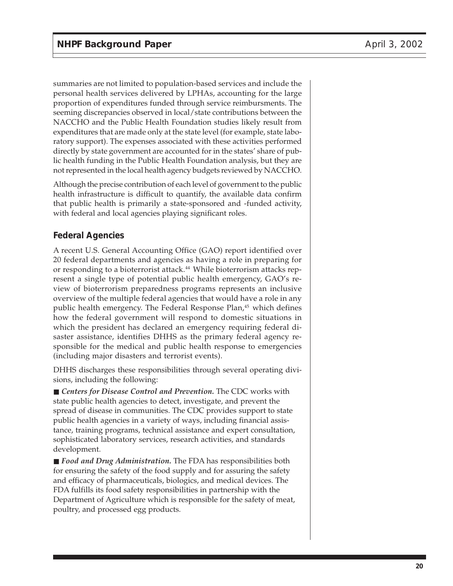summaries are not limited to population-based services and include the personal health services delivered by LPHAs, accounting for the large proportion of expenditures funded through service reimbursments. The seeming discrepancies observed in local/state contributions between the NACCHO and the Public Health Foundation studies likely result from expenditures that are made only at the state level (for example, state laboratory support). The expenses associated with these activities performed directly by state government are accounted for in the states' share of public health funding in the Public Health Foundation analysis, but they are not represented in the local health agency budgets reviewed by NACCHO.

Although the precise contribution of each level of government to the public health infrastructure is difficult to quantify, the available data confirm that public health is primarily a state-sponsored and -funded activity, with federal and local agencies playing significant roles.

### **Federal Agencies**

A recent U.S. General Accounting Office (GAO) report identified over 20 federal departments and agencies as having a role in preparing for or responding to a bioterrorist attack.<sup>44</sup> While bioterrorism attacks represent a single type of potential public health emergency, GAO's review of bioterrorism preparedness programs represents an inclusive overview of the multiple federal agencies that would have a role in any public health emergency. The Federal Response Plan,<sup>45</sup> which defines how the federal government will respond to domestic situations in which the president has declared an emergency requiring federal disaster assistance, identifies DHHS as the primary federal agency responsible for the medical and public health response to emergencies (including major disasters and terrorist events).

DHHS discharges these responsibilities through several operating divisions, including the following:

■ *Centers for Disease Control and Prevention*. The CDC works with state public health agencies to detect, investigate, and prevent the spread of disease in communities. The CDC provides support to state public health agencies in a variety of ways, including financial assistance, training programs, technical assistance and expert consultation, sophisticated laboratory services, research activities, and standards development.

■ *Food and Drug Administration*. The FDA has responsibilities both for ensuring the safety of the food supply and for assuring the safety and efficacy of pharmaceuticals, biologics, and medical devices. The FDA fulfills its food safety responsibilities in partnership with the Department of Agriculture which is responsible for the safety of meat, poultry, and processed egg products.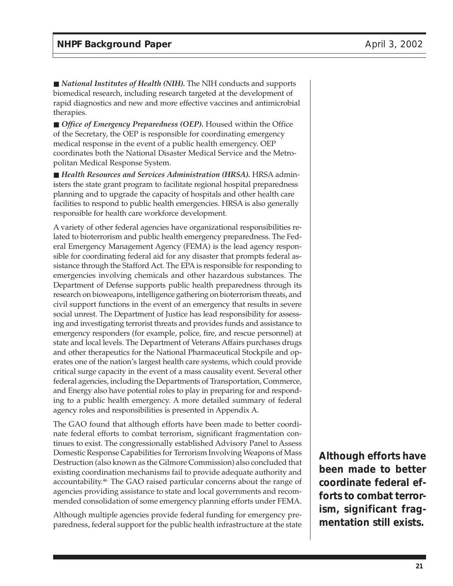■ *National Institutes of Health (NIH)*. The NIH conducts and supports biomedical research, including research targeted at the development of rapid diagnostics and new and more effective vaccines and antimicrobial therapies.

■ *Office of Emergency Preparedness (OEP)*. Housed within the Office of the Secretary, the OEP is responsible for coordinating emergency medical response in the event of a public health emergency. OEP coordinates both the National Disaster Medical Service and the Metropolitan Medical Response System.

■ *Health Resources and Services Administration (HRSA)*. HRSA administers the state grant program to facilitate regional hospital preparedness planning and to upgrade the capacity of hospitals and other health care facilities to respond to public health emergencies. HRSA is also generally responsible for health care workforce development.

A variety of other federal agencies have organizational responsibilities related to bioterrorism and public health emergency preparedness. The Federal Emergency Management Agency (FEMA) is the lead agency responsible for coordinating federal aid for any disaster that prompts federal assistance through the Stafford Act. The EPA is responsible for responding to emergencies involving chemicals and other hazardous substances. The Department of Defense supports public health preparedness through its research on bioweapons, intelligence gathering on bioterrorism threats, and civil support functions in the event of an emergency that results in severe social unrest. The Department of Justice has lead responsibility for assessing and investigating terrorist threats and provides funds and assistance to emergency responders (for example, police, fire, and rescue personnel) at state and local levels. The Department of Veterans Affairs purchases drugs and other therapeutics for the National Pharmaceutical Stockpile and operates one of the nation's largest health care systems, which could provide critical surge capacity in the event of a mass causality event. Several other federal agencies, including the Departments of Transportation, Commerce, and Energy also have potential roles to play in preparing for and responding to a public health emergency. A more detailed summary of federal agency roles and responsibilities is presented in Appendix A.

The GAO found that although efforts have been made to better coordinate federal efforts to combat terrorism, significant fragmentation continues to exist. The congressionally established Advisory Panel to Assess Domestic Response Capabilities for Terrorism Involving Weapons of Mass Destruction (also known as the Gilmore Commission) also concluded that existing coordination mechanisms fail to provide adequate authority and accountability.<sup>46</sup> The GAO raised particular concerns about the range of agencies providing assistance to state and local governments and recommended consolidation of some emergency planning efforts under FEMA.

Although multiple agencies provide federal funding for emergency preparedness, federal support for the public health infrastructure at the state **Although efforts have been made to better coordinate federal efforts to combat terrorism, significant fragmentation still exists.**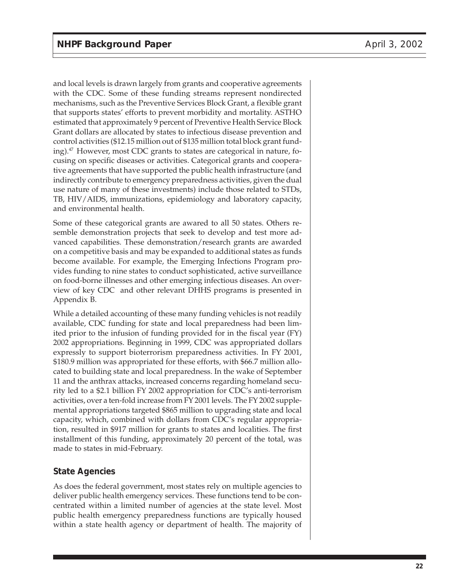and local levels is drawn largely from grants and cooperative agreements with the CDC. Some of these funding streams represent nondirected mechanisms, such as the Preventive Services Block Grant, a flexible grant that supports states' efforts to prevent morbidity and mortality. ASTHO estimated that approximately 9 percent of Preventive Health Service Block Grant dollars are allocated by states to infectious disease prevention and control activities (\$12.15 million out of \$135 million total block grant funding).<sup>47</sup> However, most CDC grants to states are categorical in nature, focusing on specific diseases or activities. Categorical grants and cooperative agreements that have supported the public health infrastructure (and indirectly contribute to emergency preparedness activities, given the dual use nature of many of these investments) include those related to STDs, TB, HIV/AIDS, immunizations, epidemiology and laboratory capacity, and environmental health.

Some of these categorical grants are awared to all 50 states. Others resemble demonstration projects that seek to develop and test more advanced capabilities. These demonstration/research grants are awarded on a competitive basis and may be expanded to additional states as funds become available. For example, the Emerging Infections Program provides funding to nine states to conduct sophisticated, active surveillance on food-borne illnesses and other emerging infectious diseases. An overview of key CDC and other relevant DHHS programs is presented in Appendix B.

While a detailed accounting of these many funding vehicles is not readily available, CDC funding for state and local preparedness had been limited prior to the infusion of funding provided for in the fiscal year (FY) 2002 appropriations. Beginning in 1999, CDC was appropriated dollars expressly to support bioterrorism preparedness activities. In FY 2001, \$180.9 million was appropriated for these efforts, with \$66.7 million allocated to building state and local preparedness. In the wake of September 11 and the anthrax attacks, increased concerns regarding homeland security led to a \$2.1 billion FY 2002 appropriation for CDC's anti-terrorism activities, over a ten-fold increase from FY 2001 levels. The FY 2002 supplemental appropriations targeted \$865 million to upgrading state and local capacity, which, combined with dollars from CDC's regular appropriation, resulted in \$917 million for grants to states and localities. The first installment of this funding, approximately 20 percent of the total, was made to states in mid-February.

### **State Agencies**

As does the federal government, most states rely on multiple agencies to deliver public health emergency services. These functions tend to be concentrated within a limited number of agencies at the state level. Most public health emergency preparedness functions are typically housed within a state health agency or department of health. The majority of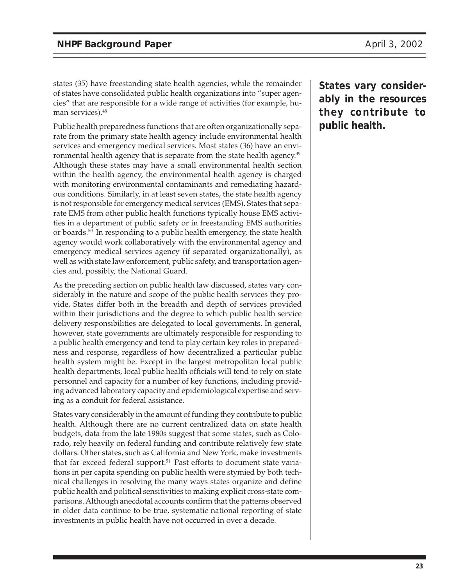states (35) have freestanding state health agencies, while the remainder of states have consolidated public health organizations into "super agencies" that are responsible for a wide range of activities (for example, human services).<sup>48</sup>

Public health preparedness functions that are often organizationally separate from the primary state health agency include environmental health services and emergency medical services. Most states (36) have an environmental health agency that is separate from the state health agency.<sup>49</sup> Although these states may have a small environmental health section within the health agency, the environmental health agency is charged with monitoring environmental contaminants and remediating hazardous conditions. Similarly, in at least seven states, the state health agency is not responsible for emergency medical services (EMS). States that separate EMS from other public health functions typically house EMS activities in a department of public safety or in freestanding EMS authorities or boards.50 In responding to a public health emergency, the state health agency would work collaboratively with the environmental agency and emergency medical services agency (if separated organizationally), as well as with state law enforcement, public safety, and transportation agencies and, possibly, the National Guard.

As the preceding section on public health law discussed, states vary considerably in the nature and scope of the public health services they provide. States differ both in the breadth and depth of services provided within their jurisdictions and the degree to which public health service delivery responsibilities are delegated to local governments. In general, however, state governments are ultimately responsible for responding to a public health emergency and tend to play certain key roles in preparedness and response, regardless of how decentralized a particular public health system might be. Except in the largest metropolitan local public health departments, local public health officials will tend to rely on state personnel and capacity for a number of key functions, including providing advanced laboratory capacity and epidemiological expertise and serving as a conduit for federal assistance.

States vary considerably in the amount of funding they contribute to public health. Although there are no current centralized data on state health budgets, data from the late 1980s suggest that some states, such as Colorado, rely heavily on federal funding and contribute relatively few state dollars. Other states, such as California and New York, make investments that far exceed federal support.<sup>51</sup> Past efforts to document state variations in per capita spending on public health were stymied by both technical challenges in resolving the many ways states organize and define public health and political sensitivities to making explicit cross-state comparisons. Although anecdotal accounts confirm that the patterns observed in older data continue to be true, systematic national reporting of state investments in public health have not occurred in over a decade.

**States vary considerably in the resources they contribute to public health.**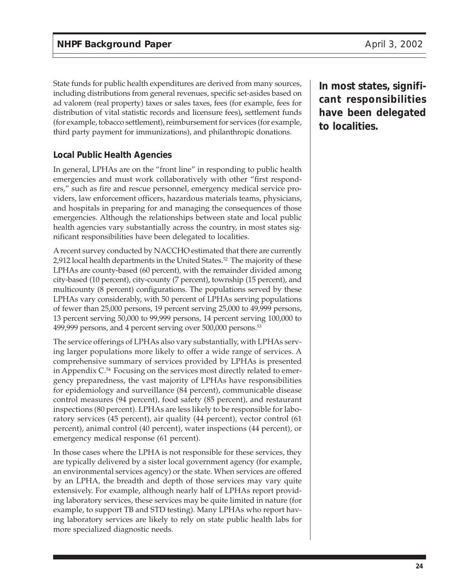State funds for public health expenditures are derived from many sources, including distributions from general revenues, specific set-asides based on ad valorem (real property) taxes or sales taxes, fees (for example, fees for distribution of vital statistic records and licensure fees)**,** settlement funds (for example, tobacco settlement), reimbursement for services (for example, third party payment for immunizations), and philanthropic donations.

### **Local Public Health Agencies**

In general, LPHAs are on the "front line" in responding to public health emergencies and must work collaboratively with other "first responders," such as fire and rescue personnel, emergency medical service providers, law enforcement officers, hazardous materials teams, physicians, and hospitals in preparing for and managing the consequences of those emergencies. Although the relationships between state and local public health agencies vary substantially across the country, in most states significant responsibilities have been delegated to localities.

A recent survey conducted by NACCHO estimated that there are currently 2,912 local health departments in the United States.<sup>52</sup> The majority of these LPHAs are county-based (60 percent), with the remainder divided among city-based (10 percent), city-county (7 percent), township (15 percent), and multicounty (8 percent) configurations. The populations served by these LPHAs vary considerably, with 50 percent of LPHAs serving populations of fewer than 25,000 persons, 19 percent serving 25,000 to 49,999 persons, 13 percent serving 50,000 to 99,999 persons, 14 percent serving 100,000 to 499,999 persons, and 4 percent serving over 500,000 persons.<sup>53</sup>

The service offerings of LPHAs also vary substantially, with LPHAs serving larger populations more likely to offer a wide range of services. A comprehensive summary of services provided by LPHAs is presented in Appendix  $C^{54}$  Focusing on the services most directly related to emergency preparedness, the vast majority of LPHAs have responsibilities for epidemiology and surveillance (84 percent), communicable disease control measures (94 percent), food safety (85 percent), and restaurant inspections (80 percent). LPHAs are less likely to be responsible for laboratory services (45 percent), air quality (44 percent), vector control (61 percent), animal control (40 percent), water inspections (44 percent), or emergency medical response (61 percent).

In those cases where the LPHA is not responsible for these services, they are typically delivered by a sister local government agency (for example, an environmental services agency) or the state. When services are offered by an LPHA, the breadth and depth of those services may vary quite extensively. For example, although nearly half of LPHAs report providing laboratory services, these services may be quite limited in nature (for example, to support TB and STD testing). Many LPHAs who report having laboratory services are likely to rely on state public health labs for more specialized diagnostic needs.

**In most states, significant responsibilities have been delegated to localities.**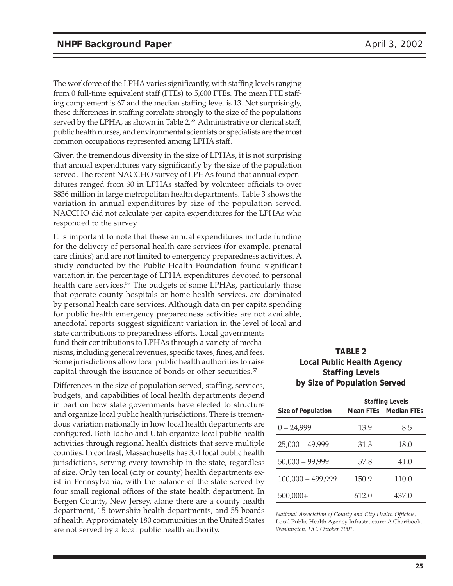The workforce of the LPHA varies significantly, with staffing levels ranging from 0 full-time equivalent staff (FTEs) to 5,600 FTEs. The mean FTE staffing complement is 67 and the median staffing level is 13. Not surprisingly, these differences in staffing correlate strongly to the size of the populations served by the LPHA, as shown in Table 2.<sup>55</sup> Administrative or clerical staff, public health nurses, and environmental scientists or specialists are the most common occupations represented among LPHA staff.

Given the tremendous diversity in the size of LPHAs, it is not surprising that annual expenditures vary significantly by the size of the population served. The recent NACCHO survey of LPHAs found that annual expenditures ranged from \$0 in LPHAs staffed by volunteer officials to over \$836 million in large metropolitan health departments. Table 3 shows the variation in annual expenditures by size of the population served. NACCHO did not calculate per capita expenditures for the LPHAs who responded to the survey.

It is important to note that these annual expenditures include funding for the delivery of personal health care services (for example, prenatal care clinics) and are not limited to emergency preparedness activities. A study conducted by the Public Health Foundation found significant variation in the percentage of LPHA expenditures devoted to personal health care services.<sup>56</sup> The budgets of some LPHAs, particularly those that operate county hospitals or home health services, are dominated by personal health care services. Although data on per capita spending for public health emergency preparedness activities are not available, anecdotal reports suggest significant variation in the level of local and state contributions to preparedness efforts. Local governments fund their contributions to LPHAs through a variety of mechanisms, including general revenues, specific taxes, fines, and fees. Some jurisdictions allow local public health authorities to raise capital through the issuance of bonds or other securities.<sup>57</sup>

Differences in the size of population served, staffing, services, budgets, and capabilities of local health departments depend in part on how state governments have elected to structure and organize local public health jurisdictions. There is tremendous variation nationally in how local health departments are configured. Both Idaho and Utah organize local public health activities through regional health districts that serve multiple counties. In contrast, Massachusetts has 351 local public health jurisdictions, serving every township in the state, regardless of size. Only ten local (city or county) health departments exist in Pennsylvania, with the balance of the state served by four small regional offices of the state health department. In Bergen County, New Jersey, alone there are a county health department, 15 township health departments, and 55 boards of health. Approximately 180 communities in the United States are not served by a local public health authority.

#### **TABLE 2 Local Public Health Agency Staffing Levels by Size of Population Served**

|                           | <b>Staffing Levels</b> |                              |
|---------------------------|------------------------|------------------------------|
| <b>Size of Population</b> |                        | <b>Mean FTEs</b> Median FTEs |
| $0 - 24,999$              | 13.9                   | 8.5                          |
| $25,000 - 49,999$         | 31.3                   | 18.0                         |
| $50,000 - 99,999$         | 57.8                   | 41.0                         |
| $100,000 - 499,999$       | 150.9                  | 110.0                        |
| $500,000+$                | 612.0                  | 437.0                        |

*National Association of County and City Health Officials,* Local Public Health Agency Infrastructure: A Chartbook, *Washington, DC, October 2001.*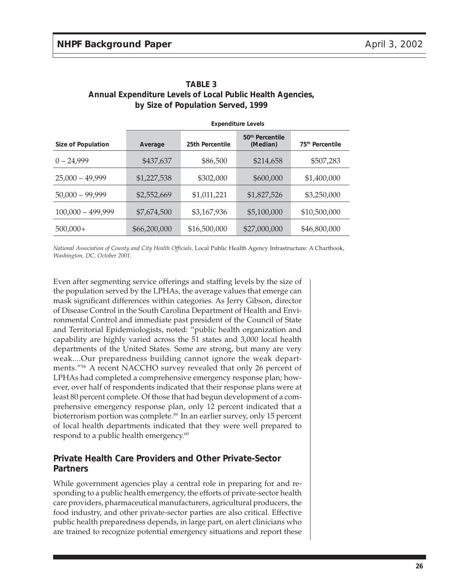|                     | <b>Expenditure Levels</b> |                 |                                         |                             |
|---------------------|---------------------------|-----------------|-----------------------------------------|-----------------------------|
| Size of Population  | Average                   | 25th Percentile | 50 <sup>th</sup> Percentile<br>(Median) | 75 <sup>th</sup> Percentile |
| $0 - 24,999$        | \$437,637                 | \$86,500        | \$214,658                               | \$507,283                   |
| $25,000 - 49,999$   | \$1,227,538               | \$302,000       | \$600,000                               | \$1,400,000                 |
| $50,000 - 99,999$   | \$2,552,669               | \$1,011,221     | \$1,827,526                             | \$3,250,000                 |
| $100,000 - 499,999$ | \$7,674,500               | \$3,167,936     | \$5,100,000                             | \$10,500,000                |
| $500,000+$          | \$66,200,000              | \$16,500,000    | \$27,000,000                            | \$46,800,000                |

#### **TABLE 3 Annual Expenditure Levels of Local Public Health Agencies, by Size of Population Served, 1999**

*National Association of County and City Health Officials,* Local Public Health Agency Infrastructure: A Chartbook, *Washington, DC, October 2001.*

Even after segmenting service offerings and staffing levels by the size of the population served by the LPHAs, the average values that emerge can mask significant differences within categories. As Jerry Gibson, director of Disease Control in the South Carolina Department of Health and Environmental Control and immediate past president of the Council of State and Territorial Epidemiologists, noted: "public health organization and capability are highly varied across the 51 states and 3,000 local health departments of the United States. Some are strong, but many are very weak....Our preparedness building cannot ignore the weak departments."58 A recent NACCHO survey revealed that only 26 percent of LPHAs had completed a comprehensive emergency response plan; however, over half of respondents indicated that their response plans were at least 80 percent complete. Of those that had begun development of a comprehensive emergency response plan, only 12 percent indicated that a bioterrorism portion was complete.<sup>59</sup> In an earlier survey, only 15 percent of local health departments indicated that they were well prepared to respond to a public health emergency.<sup>60</sup>

### **Private Health Care Providers and Other Private-Sector Partners**

While government agencies play a central role in preparing for and responding to a public health emergency, the efforts of private-sector health care providers, pharmaceutical manufacturers, agricultural producers, the food industry, and other private-sector parties are also critical. Effective public health preparedness depends, in large part, on alert clinicians who are trained to recognize potential emergency situations and report these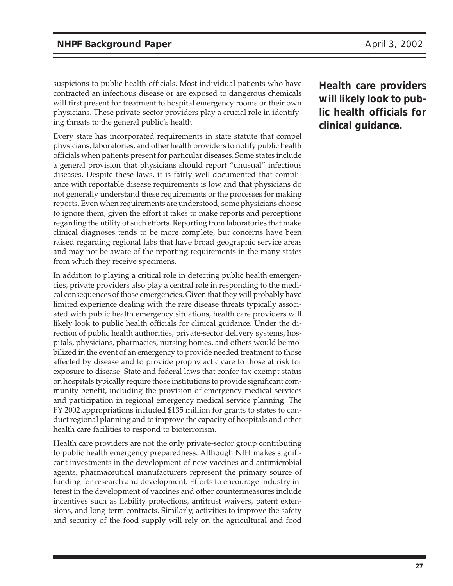suspicions to public health officials. Most individual patients who have contracted an infectious disease or are exposed to dangerous chemicals will first present for treatment to hospital emergency rooms or their own physicians. These private-sector providers play a crucial role in identifying threats to the general public's health.

Every state has incorporated requirements in state statute that compel physicians, laboratories, and other health providers to notify public health officials when patients present for particular diseases. Some states include a general provision that physicians should report "unusual" infectious diseases. Despite these laws, it is fairly well-documented that compliance with reportable disease requirements is low and that physicians do not generally understand these requirements or the processes for making reports. Even when requirements are understood, some physicians choose to ignore them, given the effort it takes to make reports and perceptions regarding the utility of such efforts. Reporting from laboratories that make clinical diagnoses tends to be more complete, but concerns have been raised regarding regional labs that have broad geographic service areas and may not be aware of the reporting requirements in the many states from which they receive specimens.

In addition to playing a critical role in detecting public health emergencies, private providers also play a central role in responding to the medical consequences of those emergencies. Given that they will probably have limited experience dealing with the rare disease threats typically associated with public health emergency situations, health care providers will likely look to public health officials for clinical guidance. Under the direction of public health authorities, private-sector delivery systems, hospitals, physicians, pharmacies, nursing homes, and others would be mobilized in the event of an emergency to provide needed treatment to those affected by disease and to provide prophylactic care to those at risk for exposure to disease. State and federal laws that confer tax-exempt status on hospitals typically require those institutions to provide significant community benefit, including the provision of emergency medical services and participation in regional emergency medical service planning. The FY 2002 appropriations included \$135 million for grants to states to conduct regional planning and to improve the capacity of hospitals and other health care facilities to respond to bioterrorism.

Health care providers are not the only private-sector group contributing to public health emergency preparedness. Although NIH makes significant investments in the development of new vaccines and antimicrobial agents, pharmaceutical manufacturers represent the primary source of funding for research and development. Efforts to encourage industry interest in the development of vaccines and other countermeasures include incentives such as liability protections, antitrust waivers, patent extensions, and long-term contracts. Similarly, activities to improve the safety and security of the food supply will rely on the agricultural and food

**Health care providers will likely look to public health officials for clinical guidance.**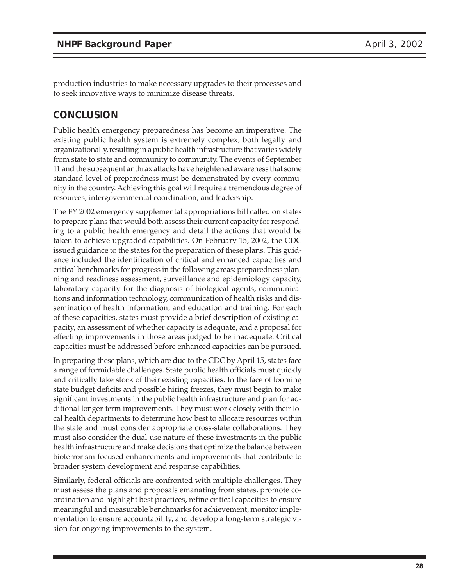production industries to make necessary upgrades to their processes and to seek innovative ways to minimize disease threats.

# **CONCLUSION**

Public health emergency preparedness has become an imperative. The existing public health system is extremely complex, both legally and organizationally, resulting in a public health infrastructure that varies widely from state to state and community to community. The events of September 11 and the subsequent anthrax attacks have heightened awareness that some standard level of preparedness must be demonstrated by every community in the country. Achieving this goal will require a tremendous degree of resources, intergovernmental coordination, and leadership.

The FY 2002 emergency supplemental appropriations bill called on states to prepare plans that would both assess their current capacity for responding to a public health emergency and detail the actions that would be taken to achieve upgraded capabilities. On February 15, 2002, the CDC issued guidance to the states for the preparation of these plans. This guidance included the identification of critical and enhanced capacities and critical benchmarks for progress in the following areas: preparedness planning and readiness assessment, surveillance and epidemiology capacity, laboratory capacity for the diagnosis of biological agents, communications and information technology, communication of health risks and dissemination of health information, and education and training. For each of these capacities, states must provide a brief description of existing capacity, an assessment of whether capacity is adequate, and a proposal for effecting improvements in those areas judged to be inadequate. Critical capacities must be addressed before enhanced capacities can be pursued.

In preparing these plans, which are due to the CDC by April 15, states face a range of formidable challenges. State public health officials must quickly and critically take stock of their existing capacities. In the face of looming state budget deficits and possible hiring freezes, they must begin to make significant investments in the public health infrastructure and plan for additional longer-term improvements. They must work closely with their local health departments to determine how best to allocate resources within the state and must consider appropriate cross-state collaborations. They must also consider the dual-use nature of these investments in the public health infrastructure and make decisions that optimize the balance between bioterrorism-focused enhancements and improvements that contribute to broader system development and response capabilities.

Similarly, federal officials are confronted with multiple challenges. They must assess the plans and proposals emanating from states, promote coordination and highlight best practices, refine critical capacities to ensure meaningful and measurable benchmarks for achievement, monitor implementation to ensure accountability, and develop a long-term strategic vision for ongoing improvements to the system.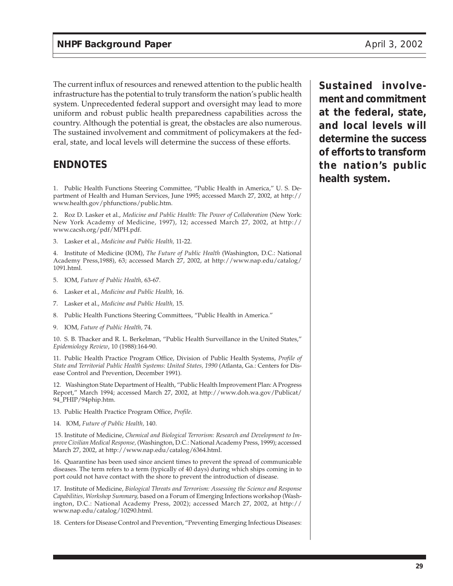The current influx of resources and renewed attention to the public health infrastructure has the potential to truly transform the nation's public health system. Unprecedented federal support and oversight may lead to more uniform and robust public health preparedness capabilities across the country. Although the potential is great, the obstacles are also numerous. The sustained involvement and commitment of policymakers at the federal, state, and local levels will determine the success of these efforts.

# **ENDNOTES**

1. Public Health Functions Steering Committee, "Public Health in America," U. S. Department of Health and Human Services, June 1995; accessed March 27, 2002, at http:// www.health.gov/phfunctions/public.htm.

2. Roz D. Lasker et al., *Medicine and Public Health: The Power of Collaboration* (New York: New York Academy of Medicine, 1997), 12; accessed March 27, 2002, at http:// www.cacsh.org/pdf/MPH.pdf.

3. Lasker et al., *Medicine and Public Health,* 11-22.

4. Institute of Medicine (IOM), *The Future of Public Health* (Washington, D.C.: National Academy Press,1988), 63; accessed March 27, 2002, at http://www.nap.edu/catalog/ 1091.html.

- 5. IOM, *Future of Public Health,* 63-67.
- 6. Lasker et al., *Medicine and Public Health,* 16.
- 7. Lasker et al., *Medicine and Public Health,* 15.
- 8. Public Health Functions Steering Committees, "Public Health in America."
- 9. IOM, *Future of Public Health,* 74.

10. S. B. Thacker and R. L. Berkelman, "Public Health Surveillance in the United States," *Epidemiology Review*, 10 (1988):164-90.

11. Public Health Practice Program Office, Division of Public Health Systems, *Profile of State and Territorial Public Health Systems: United States, 1990* (Atlanta, Ga.: Centers for Disease Control and Prevention, December 1991).

12. Washington State Department of Health, "Public Health Improvement Plan: A Progress Report," March 1994; accessed March 27, 2002, at http://www.doh.wa.gov/Publicat/ 94\_PHIP/94phip.htm.

- 13. Public Health Practice Program Office, *Profile*.
- 14. IOM, *Future of Public Health,* 140.

15. Institute of Medicine, *Chemical and Biological Terrorism: Research and Development to Improve Civilian Medical Response,* (Washington, D.C.: National Academy Press, 1999); accessed March 27, 2002, at http://www.nap.edu/catalog/6364.html.

16. Quarantine has been used since ancient times to prevent the spread of communicable diseases. The term refers to a term (typically of 40 days) during which ships coming in to port could not have contact with the shore to prevent the introduction of disease.

17. Institute of Medicine, *Biological Threats and Terrorism: Assessing the Science and Response Capabilities, Workshop Summary,* based on a Forum of Emerging Infections workshop (Washington, D.C.: National Academy Press, 2002); accessed March 27, 2002, at http:// www.nap.edu/catalog/10290.html.

18. Centers for Disease Control and Prevention, "Preventing Emerging Infectious Diseases:

**Sustained involvement and commitment at the federal, state, and local levels will determine the success of efforts to transform the nation's public health system.**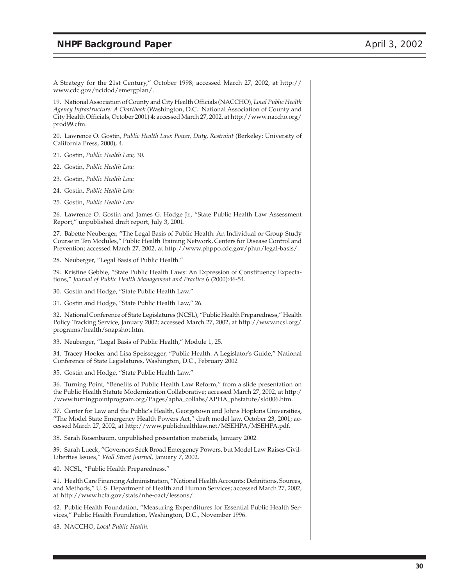#### **NHPF Background Paper April 3, 2002**

A Strategy for the 21st Century," October 1998; accessed March 27, 2002, at http:// www.cdc.gov/ncidod/emergplan/.

19. National Association of County and City Health Officials (NACCHO), *Local Public Health Agency Infrastructure: A Chartbook* (Washington, D.C.: National Association of County and City Health Officials, October 2001) 4; accessed March 27, 2002, at http://www.naccho.org/ prod99.cfm.

20. Lawrence O. Gostin, *Public Health Law: Power, Duty, Restraint* (Berkeley: University of California Press, 2000), 4.

21. Gostin, *Public Health Law,* 30.

22. Gostin, *Public Health Law.*

23. Gostin, *Public Health Law.*

24. Gostin, *Public Health Law.*

25. Gostin, *Public Health Law.*

26. Lawrence O. Gostin and James G. Hodge Jr., "State Public Health Law Assessment Report," unpublished draft report, July 3, 2001.

27. Babette Neuberger, "The Legal Basis of Public Health: An Individual or Group Study Course in Ten Modules," Public Health Training Network, Centers for Disease Control and Prevention; accessed March 27, 2002, at http://www.phppo.cdc.gov/phtn/legal-basis/.

28. Neuberger, "Legal Basis of Public Health."

29. Kristine Gebbie, "State Public Health Laws: An Expression of Constituency Expectations," *Journal of Public Health Management and Practice* 6 (2000):46-54.

30. Gostin and Hodge, "State Public Health Law."

31. Gostin and Hodge, "State Public Health Law," 26.

32. National Conference of State Legislatures (NCSL), "Public Health Preparedness," Health Policy Tracking Service, January 2002; accessed March 27, 2002, at http://www.ncsl.org/ programs/health/snapshot.htm.

33. Neuberger, "Legal Basis of Public Health," Module 1, 25.

34. Tracey Hooker and Lisa Speissegger, "Public Health: A Legislator's Guide," National Conference of State Legislatures, Washington, D.C., February 2002

35. Gostin and Hodge, "State Public Health Law."

36. Turning Point, "Benefits of Public Health Law Reform," from a slide presentation on the Public Health Statute Modernization Collaborative; accessed March 27, 2002, at http:/ /www.turningpointprogram.org/Pages/apha\_collabs/APHA\_phstatute/sld006.htm.

37. Center for Law and the Public's Health, Georgetown and Johns Hopkins Universities, "The Model State Emergency Health Powers Act," draft model law, October 23, 2001; accessed March 27, 2002, at http://www.publichealthlaw.net/MSEHPA/MSEHPA.pdf.

38. Sarah Rosenbaum, unpublished presentation materials, January 2002.

39. Sarah Lueck, "Governors Seek Broad Emergency Powers, but Model Law Raises Civil-Liberties Issues," *Wall Street Journal,* January 7, 2002.

40. NCSL, "Public Health Preparedness."

41. Health Care Financing Administration, "National Health Accounts: Definitions, Sources, and Methods," U. S. Department of Health and Human Services; accessed March 27, 2002, at http://www.hcfa.gov/stats/nhe-oact/lessons/.

42. Public Health Foundation, "Measuring Expenditures for Essential Public Health Services," Public Health Foundation, Washington, D.C., November 1996.

43. NACCHO, *Local Public Health.*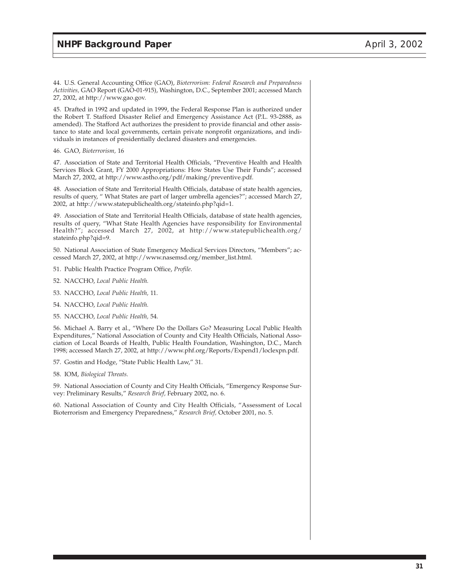44. U.S. General Accounting Office (GAO), *Bioterrorism: Federal Research and Preparedness Activities,* GAO Report (GAO-01-915), Washington, D.C., September 2001; accessed March 27, 2002, at http://www.gao.gov.

45. Drafted in 1992 and updated in 1999, the Federal Response Plan is authorized under the Robert T. Stafford Disaster Relief and Emergency Assistance Act (P.L. 93-2888, as amended). The Stafford Act authorizes the president to provide financial and other assistance to state and local governments, certain private nonprofit organizations, and individuals in instances of presidentially declared disasters and emergencies.

46. GAO, *Bioterrorism,* 16

47. Association of State and Territorial Health Officials, "Preventive Health and Health Services Block Grant, FY 2000 Appropriations: How States Use Their Funds"; accessed March 27, 2002, at http://www.astho.org/pdf/making/preventive.pdf.

48. Association of State and Territorial Health Officials, database of state health agencies, results of query, " What States are part of larger umbrella agencies?"; accessed March 27, 2002, at http://www.statepublichealth.org/stateinfo.php?qid=1.

49. Association of State and Territorial Health Officials, database of state health agencies, results of query, "What State Health Agencies have responsibility for Environmental Health?"; accessed March 27, 2002, at http://www.statepublichealth.org/ stateinfo.php?qid=9.

50. National Association of State Emergency Medical Services Directors, "Members"; accessed March 27, 2002, at http://www.nasemsd.org/member\_list.html.

- 51. Public Health Practice Program Office, *Profile*.
- 52. NACCHO, *Local Public Health.*
- 53. NACCHO, *Local Public Health,* 11.
- 54. NACCHO, *Local Public Health.*
- 55. NACCHO, *Local Public Health,* 54.

56. Michael A. Barry et al., "Where Do the Dollars Go? Measuring Local Public Health Expenditures," National Association of County and City Health Officials, National Association of Local Boards of Health, Public Health Foundation, Washington, D.C., March 1998; accessed March 27, 2002, at http://www.phf.org/Reports/Expend1/loclexpn.pdf.

57. Gostin and Hodge, "State Public Health Law," 31.

58. IOM, *Biological Threats.*

59. National Association of County and City Health Officials, "Emergency Response Survey: Preliminary Results," *Research Brief,* February 2002, no. 6.

60. National Association of County and City Health Officials, "Assessment of Local Bioterrorism and Emergency Preparedness," *Research Brief,* October 2001, no. 5.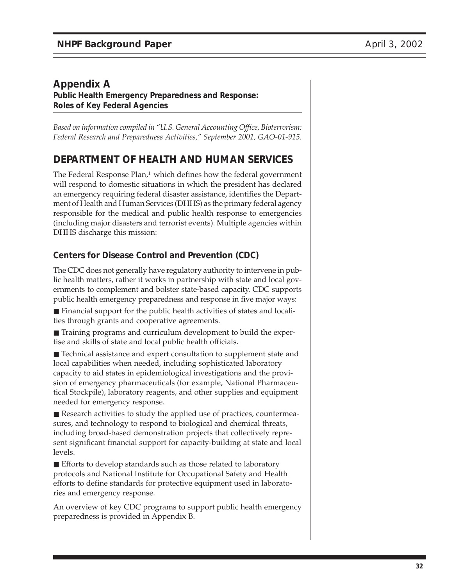### **Appendix A Public Health Emergency Preparedness and Response: Roles of Key Federal Agencies**

*Based on information compiled in "U.S. General Accounting Office, Bioterrorism: Federal Research and Preparedness Activities," September 2001, GAO-01-915.*

# **DEPARTMENT OF HEALTH AND HUMAN SERVICES**

The Federal Response Plan,<sup>1</sup> which defines how the federal government will respond to domestic situations in which the president has declared an emergency requiring federal disaster assistance, identifies the Department of Health and Human Services (DHHS) as the primary federal agency responsible for the medical and public health response to emergencies (including major disasters and terrorist events). Multiple agencies within DHHS discharge this mission:

### **Centers for Disease Control and Prevention (CDC)**

The CDC does not generally have regulatory authority to intervene in public health matters, rather it works in partnership with state and local governments to complement and bolster state-based capacity. CDC supports public health emergency preparedness and response in five major ways:

■ Financial support for the public health activities of states and localities through grants and cooperative agreements.

■ Training programs and curriculum development to build the expertise and skills of state and local public health officials.

■ Technical assistance and expert consultation to supplement state and local capabilities when needed, including sophisticated laboratory capacity to aid states in epidemiological investigations and the provision of emergency pharmaceuticals (for example, National Pharmaceutical Stockpile), laboratory reagents, and other supplies and equipment needed for emergency response.

■ Research activities to study the applied use of practices, countermeasures, and technology to respond to biological and chemical threats, including broad-based demonstration projects that collectively represent significant financial support for capacity-building at state and local levels.

■ Efforts to develop standards such as those related to laboratory protocols and National Institute for Occupational Safety and Health efforts to define standards for protective equipment used in laboratories and emergency response.

An overview of key CDC programs to support public health emergency preparedness is provided in Appendix B.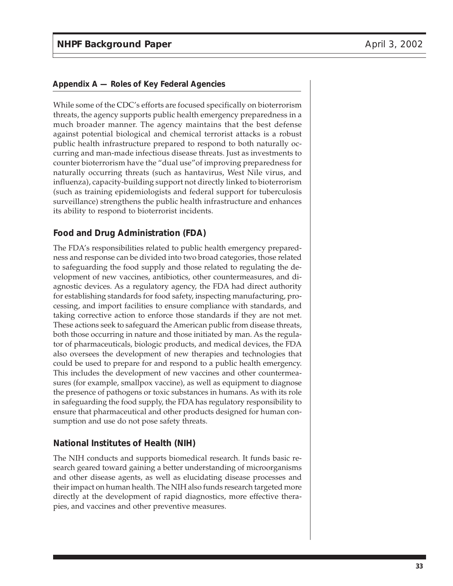While some of the CDC's efforts are focused specifically on bioterrorism threats, the agency supports public health emergency preparedness in a much broader manner. The agency maintains that the best defense against potential biological and chemical terrorist attacks is a robust public health infrastructure prepared to respond to both naturally occurring and man-made infectious disease threats. Just as investments to counter bioterrorism have the "dual use"of improving preparedness for naturally occurring threats (such as hantavirus, West Nile virus, and influenza), capacity-building support not directly linked to bioterrorism (such as training epidemiologists and federal support for tuberculosis surveillance) strengthens the public health infrastructure and enhances its ability to respond to bioterrorist incidents.

### **Food and Drug Administration (FDA)**

The FDA's responsibilities related to public health emergency preparedness and response can be divided into two broad categories, those related to safeguarding the food supply and those related to regulating the development of new vaccines, antibiotics, other countermeasures, and diagnostic devices. As a regulatory agency, the FDA had direct authority for establishing standards for food safety, inspecting manufacturing, processing, and import facilities to ensure compliance with standards, and taking corrective action to enforce those standards if they are not met. These actions seek to safeguard the American public from disease threats, both those occurring in nature and those initiated by man. As the regulator of pharmaceuticals, biologic products, and medical devices, the FDA also oversees the development of new therapies and technologies that could be used to prepare for and respond to a public health emergency. This includes the development of new vaccines and other countermeasures (for example, smallpox vaccine), as well as equipment to diagnose the presence of pathogens or toxic substances in humans. As with its role in safeguarding the food supply, the FDA has regulatory responsibility to ensure that pharmaceutical and other products designed for human consumption and use do not pose safety threats.

### **National Institutes of Health (NIH)**

The NIH conducts and supports biomedical research. It funds basic research geared toward gaining a better understanding of microorganisms and other disease agents, as well as elucidating disease processes and their impact on human health. The NIH also funds research targeted more directly at the development of rapid diagnostics, more effective therapies, and vaccines and other preventive measures.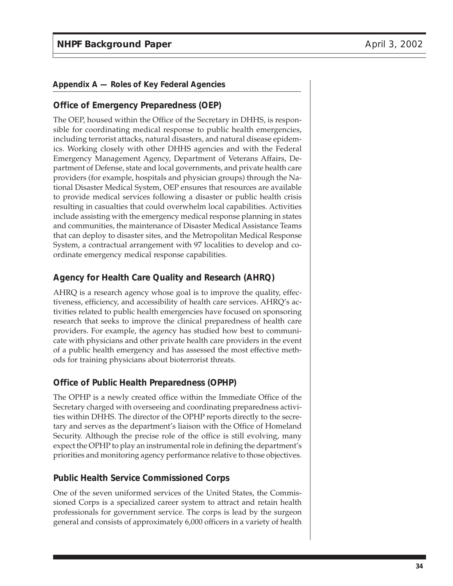### **Office of Emergency Preparedness (OEP)**

The OEP, housed within the Office of the Secretary in DHHS, is responsible for coordinating medical response to public health emergencies, including terrorist attacks, natural disasters, and natural disease epidemics. Working closely with other DHHS agencies and with the Federal Emergency Management Agency, Department of Veterans Affairs, Department of Defense, state and local governments, and private health care providers (for example, hospitals and physician groups) through the National Disaster Medical System, OEP ensures that resources are available to provide medical services following a disaster or public health crisis resulting in casualties that could overwhelm local capabilities. Activities include assisting with the emergency medical response planning in states and communities, the maintenance of Disaster Medical Assistance Teams that can deploy to disaster sites, and the Metropolitan Medical Response System, a contractual arrangement with 97 localities to develop and coordinate emergency medical response capabilities.

### **Agency for Health Care Quality and Research (AHRQ)**

AHRQ is a research agency whose goal is to improve the quality, effectiveness, efficiency, and accessibility of health care services. AHRQ's activities related to public health emergencies have focused on sponsoring research that seeks to improve the clinical preparedness of health care providers. For example, the agency has studied how best to communicate with physicians and other private health care providers in the event of a public health emergency and has assessed the most effective methods for training physicians about bioterrorist threats.

#### **Office of Public Health Preparedness (OPHP)**

The OPHP is a newly created office within the Immediate Office of the Secretary charged with overseeing and coordinating preparedness activities within DHHS. The director of the OPHP reports directly to the secretary and serves as the department's liaison with the Office of Homeland Security. Although the precise role of the office is still evolving, many expect the OPHP to play an instrumental role in defining the department's priorities and monitoring agency performance relative to those objectives.

#### **Public Health Service Commissioned Corps**

One of the seven uniformed services of the United States, the Commissioned Corps is a specialized career system to attract and retain health professionals for government service. The corps is lead by the surgeon general and consists of approximately 6,000 officers in a variety of health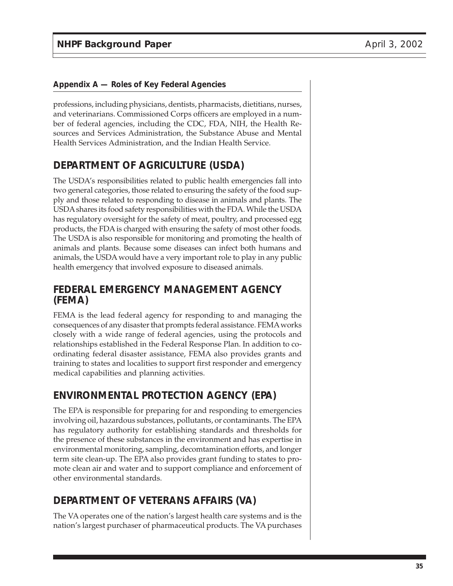professions, including physicians, dentists, pharmacists, dietitians, nurses, and veterinarians. Commissioned Corps officers are employed in a number of federal agencies, including the CDC, FDA, NIH, the Health Resources and Services Administration, the Substance Abuse and Mental Health Services Administration, and the Indian Health Service.

# **DEPARTMENT OF AGRICULTURE (USDA)**

The USDA's responsibilities related to public health emergencies fall into two general categories, those related to ensuring the safety of the food supply and those related to responding to disease in animals and plants. The USDA shares its food safety responsibilities with the FDA. While the USDA has regulatory oversight for the safety of meat, poultry, and processed egg products, the FDA is charged with ensuring the safety of most other foods. The USDA is also responsible for monitoring and promoting the health of animals and plants. Because some diseases can infect both humans and animals, the USDA would have a very important role to play in any public health emergency that involved exposure to diseased animals.

# **FEDERAL EMERGENCY MANAGEMENT AGENCY (FEMA)**

FEMA is the lead federal agency for responding to and managing the consequences of any disaster that prompts federal assistance. FEMA works closely with a wide range of federal agencies, using the protocols and relationships established in the Federal Response Plan. In addition to coordinating federal disaster assistance, FEMA also provides grants and training to states and localities to support first responder and emergency medical capabilities and planning activities.

# **ENVIRONMENTAL PROTECTION AGENCY (EPA)**

The EPA is responsible for preparing for and responding to emergencies involving oil, hazardous substances, pollutants, or contaminants. The EPA has regulatory authority for establishing standards and thresholds for the presence of these substances in the environment and has expertise in environmental monitoring, sampling, decomtamination efforts, and longer term site clean-up. The EPA also provides grant funding to states to promote clean air and water and to support compliance and enforcement of other environmental standards.

# **DEPARTMENT OF VETERANS AFFAIRS (VA)**

The VA operates one of the nation's largest health care systems and is the nation's largest purchaser of pharmaceutical products. The VA purchases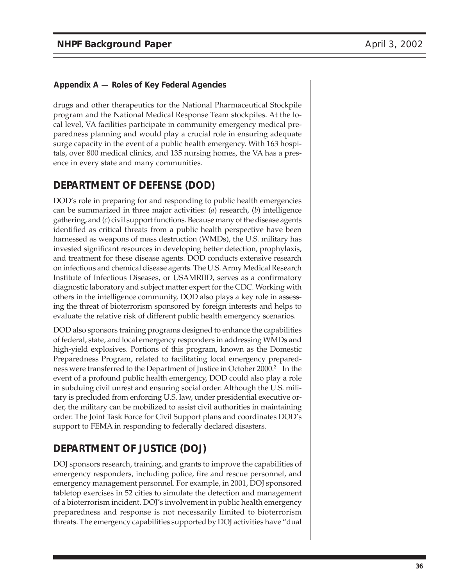drugs and other therapeutics for the National Pharmaceutical Stockpile program and the National Medical Response Team stockpiles. At the local level, VA facilities participate in community emergency medical preparedness planning and would play a crucial role in ensuring adequate surge capacity in the event of a public health emergency. With 163 hospitals, over 800 medical clinics, and 135 nursing homes, the VA has a presence in every state and many communities.

# **DEPARTMENT OF DEFENSE (DOD)**

DOD's role in preparing for and responding to public health emergencies can be summarized in three major activities: (*a*) research, (*b*) intelligence gathering, and (*c*) civil support functions. Because many of the disease agents identified as critical threats from a public health perspective have been harnessed as weapons of mass destruction (WMDs), the U.S. military has invested significant resources in developing better detection, prophylaxis, and treatment for these disease agents. DOD conducts extensive research on infectious and chemical disease agents. The U.S. Army Medical Research Institute of Infectious Diseases, or USAMRIID, serves as a confirmatory diagnostic laboratory and subject matter expert for the CDC. Working with others in the intelligence community, DOD also plays a key role in assessing the threat of bioterrorism sponsored by foreign interests and helps to evaluate the relative risk of different public health emergency scenarios.

DOD also sponsors training programs designed to enhance the capabilities of federal, state, and local emergency responders in addressing WMDs and high-yield explosives. Portions of this program, known as the Domestic Preparedness Program, related to facilitating local emergency preparedness were transferred to the Department of Justice in October 2000.<sup>2</sup> In the event of a profound public health emergency, DOD could also play a role in subduing civil unrest and ensuring social order. Although the U.S. military is precluded from enforcing U.S. law, under presidential executive order, the military can be mobilized to assist civil authorities in maintaining order. The Joint Task Force for Civil Support plans and coordinates DOD's support to FEMA in responding to federally declared disasters.

# **DEPARTMENT OF JUSTICE (DOJ)**

DOJ sponsors research, training, and grants to improve the capabilities of emergency responders, including police, fire and rescue personnel, and emergency management personnel. For example, in 2001, DOJ sponsored tabletop exercises in 52 cities to simulate the detection and management of a bioterrorism incident. DOJ's involvement in public health emergency preparedness and response is not necessarily limited to bioterrorism threats. The emergency capabilities supported by DOJ activities have "dual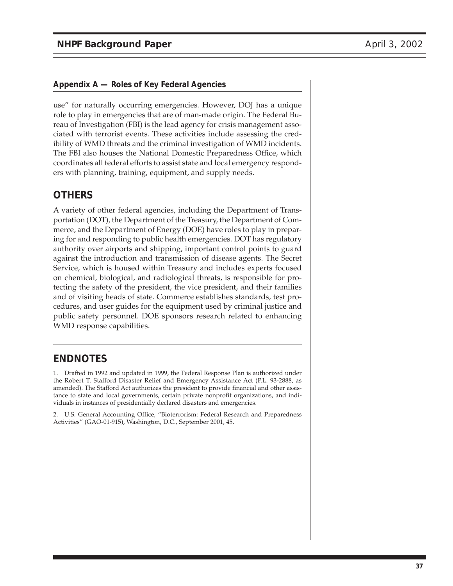use" for naturally occurring emergencies. However, DOJ has a unique role to play in emergencies that are of man-made origin. The Federal Bureau of Investigation (FBI) is the lead agency for crisis management associated with terrorist events. These activities include assessing the credibility of WMD threats and the criminal investigation of WMD incidents. The FBI also houses the National Domestic Preparedness Office, which coordinates all federal efforts to assist state and local emergency responders with planning, training, equipment, and supply needs.

# **OTHERS**

A variety of other federal agencies, including the Department of Transportation (DOT), the Department of the Treasury, the Department of Commerce, and the Department of Energy (DOE) have roles to play in preparing for and responding to public health emergencies. DOT has regulatory authority over airports and shipping, important control points to guard against the introduction and transmission of disease agents. The Secret Service, which is housed within Treasury and includes experts focused on chemical, biological, and radiological threats, is responsible for protecting the safety of the president, the vice president, and their families and of visiting heads of state. Commerce establishes standards, test procedures, and user guides for the equipment used by criminal justice and public safety personnel. DOE sponsors research related to enhancing WMD response capabilities.

# **ENDNOTES**

1. Drafted in 1992 and updated in 1999, the Federal Response Plan is authorized under the Robert T. Stafford Disaster Relief and Emergency Assistance Act (P.L. 93-2888, as amended). The Stafford Act authorizes the president to provide financial and other assistance to state and local governments, certain private nonprofit organizations, and individuals in instances of presidentially declared disasters and emergencies.

2. U.S. General Accounting Office, "Bioterrorism: Federal Research and Preparedness Activities" (GAO-01-915), Washington, D.C., September 2001, 45.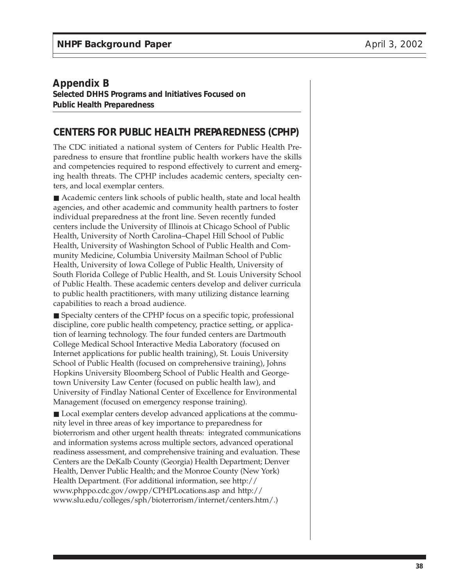### **Appendix B**

**Selected DHHS Programs and Initiatives Focused on Public Health Preparedness**

# **CENTERS FOR PUBLIC HEALTH PREPAREDNESS (CPHP)**

The CDC initiated a national system of Centers for Public Health Preparedness to ensure that frontline public health workers have the skills and competencies required to respond effectively to current and emerging health threats. The CPHP includes academic centers, specialty centers, and local exemplar centers.

■ Academic centers link schools of public health, state and local health agencies, and other academic and community health partners to foster individual preparedness at the front line. Seven recently funded centers include the University of Illinois at Chicago School of Public Health, University of North Carolina–Chapel Hill School of Public Health, University of Washington School of Public Health and Community Medicine, Columbia University Mailman School of Public Health, University of Iowa College of Public Health, University of South Florida College of Public Health, and St. Louis University School of Public Health. These academic centers develop and deliver curricula to public health practitioners, with many utilizing distance learning capabilities to reach a broad audience.

■ Specialty centers of the CPHP focus on a specific topic, professional discipline, core public health competency, practice setting, or application of learning technology. The four funded centers are Dartmouth College Medical School Interactive Media Laboratory (focused on Internet applications for public health training), St. Louis University School of Public Health (focused on comprehensive training), Johns Hopkins University Bloomberg School of Public Health and Georgetown University Law Center (focused on public health law), and University of Findlay National Center of Excellence for Environmental Management (focused on emergency response training).

■ Local exemplar centers develop advanced applications at the community level in three areas of key importance to preparedness for bioterrorism and other urgent health threats: integrated communications and information systems across multiple sectors, advanced operational readiness assessment, and comprehensive training and evaluation. These Centers are the DeKalb County (Georgia) Health Department; Denver Health, Denver Public Health; and the Monroe County (New York) Health Department. (For additional information, see http:// www.phppo.cdc.gov/owpp/CPHPLocations.asp and http:// www.slu.edu/colleges/sph/bioterrorism/internet/centers.htm/.)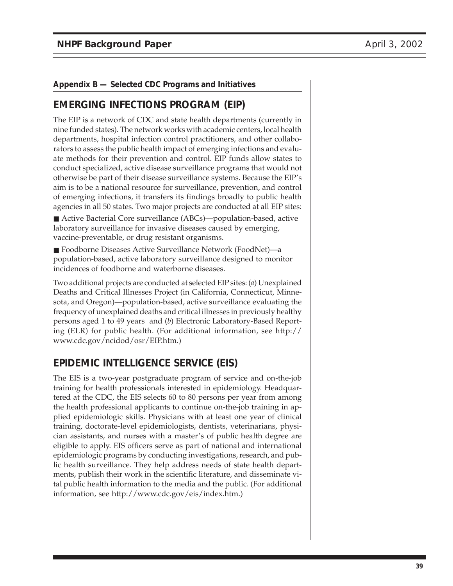# **EMERGING INFECTIONS PROGRAM (EIP)**

The EIP is a network of CDC and state health departments (currently in nine funded states). The network works with academic centers, local health departments, hospital infection control practitioners, and other collaborators to assess the public health impact of emerging infections and evaluate methods for their prevention and control. EIP funds allow states to conduct specialized, active disease surveillance programs that would not otherwise be part of their disease surveillance systems. Because the EIP's aim is to be a national resource for surveillance, prevention, and control of emerging infections, it transfers its findings broadly to public health agencies in all 50 states. Two major projects are conducted at all EIP sites:

■ Active Bacterial Core surveillance (ABCs)—population-based, active laboratory surveillance for invasive diseases caused by emerging, vaccine-preventable, or drug resistant organisms.

■ Foodborne Diseases Active Surveillance Network (FoodNet)—a population-based, active laboratory surveillance designed to monitor incidences of foodborne and waterborne diseases.

Two additional projects are conducted at selected EIP sites: (*a*) Unexplained Deaths and Critical Illnesses Project (in California, Connecticut, Minnesota, and Oregon)—population-based, active surveillance evaluating the frequency of unexplained deaths and critical illnesses in previously healthy persons aged 1 to 49 years and (*b*) Electronic Laboratory-Based Reporting (ELR) for public health. (For additional information, see http:// www.cdc.gov/ncidod/osr/EIP.htm.)

# **EPIDEMIC INTELLIGENCE SERVICE (EIS)**

The EIS is a two-year postgraduate program of service and on-the-job training for health professionals interested in epidemiology. Headquartered at the CDC, the EIS selects 60 to 80 persons per year from among the health professional applicants to continue on-the-job training in applied epidemiologic skills. Physicians with at least one year of clinical training, doctorate-level epidemiologists, dentists, veterinarians, physician assistants, and nurses with a master's of public health degree are eligible to apply. EIS officers serve as part of national and international epidemiologic programs by conducting investigations, research, and public health surveillance. They help address needs of state health departments, publish their work in the scientific literature, and disseminate vital public health information to the media and the public. (For additional information, see http://www.cdc.gov/eis/index.htm.)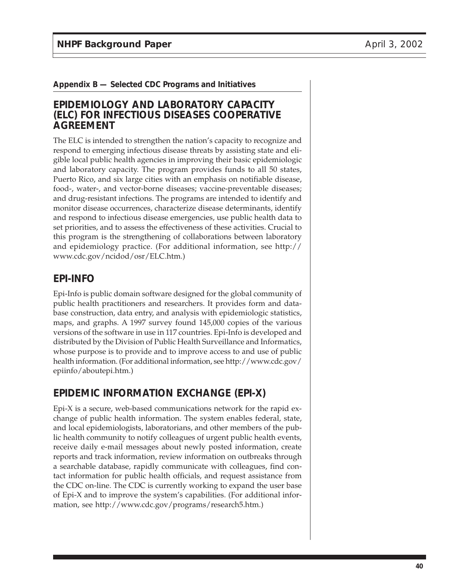### **EPIDEMIOLOGY AND LABORATORY CAPACITY (ELC) FOR INFECTIOUS DISEASES COOPERATIVE AGREEMENT**

The ELC is intended to strengthen the nation's capacity to recognize and respond to emerging infectious disease threats by assisting state and eligible local public health agencies in improving their basic epidemiologic and laboratory capacity. The program provides funds to all 50 states, Puerto Rico, and six large cities with an emphasis on notifiable disease, food-, water-, and vector-borne diseases; vaccine-preventable diseases; and drug-resistant infections. The programs are intended to identify and monitor disease occurrences, characterize disease determinants, identify and respond to infectious disease emergencies, use public health data to set priorities, and to assess the effectiveness of these activities. Crucial to this program is the strengthening of collaborations between laboratory and epidemiology practice. (For additional information, see http:// www.cdc.gov/ncidod/osr/ELC.htm.)

# **EPI-INFO**

Epi-Info is public domain software designed for the global community of public health practitioners and researchers. It provides form and database construction, data entry, and analysis with epidemiologic statistics, maps, and graphs. A 1997 survey found 145,000 copies of the various versions of the software in use in 117 countries. Epi-Info is developed and distributed by the Division of Public Health Surveillance and Informatics, whose purpose is to provide and to improve access to and use of public health information. (For additional information, see http://www.cdc.gov/ epiinfo/aboutepi.htm.)

# **EPIDEMIC INFORMATION EXCHANGE (EPI-X)**

Epi-X is a secure, web-based communications network for the rapid exchange of public health information. The system enables federal, state, and local epidemiologists, laboratorians, and other members of the public health community to notify colleagues of urgent public health events, receive daily e-mail messages about newly posted information, create reports and track information, review information on outbreaks through a searchable database, rapidly communicate with colleagues, find contact information for public health officials, and request assistance from the CDC on-line. The CDC is currently working to expand the user base of Epi-X and to improve the system's capabilities. (For additional information, see http://www.cdc.gov/programs/research5.htm.)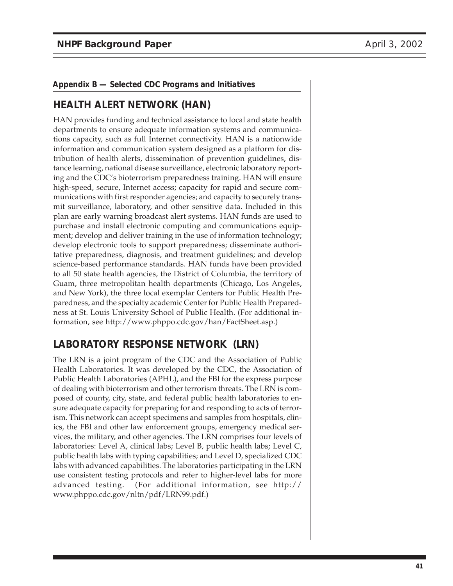# **HEALTH ALERT NETWORK (HAN)**

HAN provides funding and technical assistance to local and state health departments to ensure adequate information systems and communications capacity, such as full Internet connectivity. HAN is a nationwide information and communication system designed as a platform for distribution of health alerts, dissemination of prevention guidelines, distance learning, national disease surveillance, electronic laboratory reporting and the CDC's bioterrorism preparedness training. HAN will ensure high-speed, secure, Internet access; capacity for rapid and secure communications with first responder agencies; and capacity to securely transmit surveillance, laboratory, and other sensitive data. Included in this plan are early warning broadcast alert systems. HAN funds are used to purchase and install electronic computing and communications equipment; develop and deliver training in the use of information technology; develop electronic tools to support preparedness; disseminate authoritative preparedness, diagnosis, and treatment guidelines; and develop science-based performance standards. HAN funds have been provided to all 50 state health agencies, the District of Columbia, the territory of Guam, three metropolitan health departments (Chicago, Los Angeles, and New York), the three local exemplar Centers for Public Health Preparedness, and the specialty academic Center for Public Health Preparedness at St. Louis University School of Public Health. (For additional information, see http://www.phppo.cdc.gov/han/FactSheet.asp.)

# **LABORATORY RESPONSE NETWORK (LRN)**

The LRN is a joint program of the CDC and the Association of Public Health Laboratories. It was developed by the CDC, the Association of Public Health Laboratories (APHL), and the FBI for the express purpose of dealing with bioterrorism and other terrorism threats. The LRN is composed of county, city, state, and federal public health laboratories to ensure adequate capacity for preparing for and responding to acts of terrorism. This network can accept specimens and samples from hospitals, clinics, the FBI and other law enforcement groups, emergency medical services, the military, and other agencies. The LRN comprises four levels of laboratories: Level A, clinical labs; Level B, public health labs; Level C, public health labs with typing capabilities; and Level D, specialized CDC labs with advanced capabilities. The laboratories participating in the LRN use consistent testing protocols and refer to higher-level labs for more advanced testing. (For additional information, see http:// www.phppo.cdc.gov/nltn/pdf/LRN99.pdf.)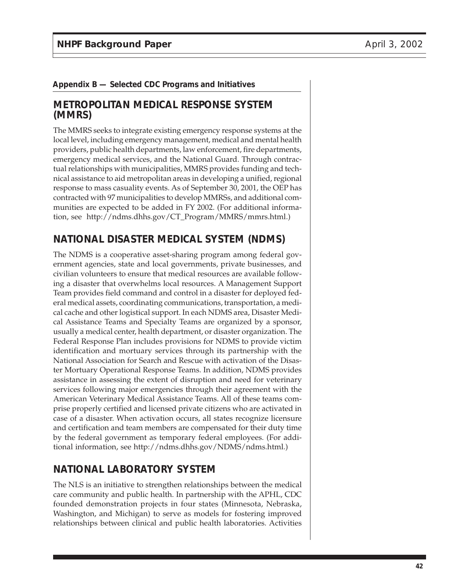### **METROPOLITAN MEDICAL RESPONSE SYSTEM (MMRS)**

The MMRS seeks to integrate existing emergency response systems at the local level, including emergency management, medical and mental health providers, public health departments, law enforcement, fire departments, emergency medical services, and the National Guard. Through contractual relationships with municipalities, MMRS provides funding and technical assistance to aid metropolitan areas in developing a unified, regional response to mass casuality events. As of September 30, 2001, the OEP has contracted with 97 municipalities to develop MMRSs, and additional communities are expected to be added in FY 2002. (For additional information, see http://ndms.dhhs.gov/CT\_Program/MMRS/mmrs.html.)

### **NATIONAL DISASTER MEDICAL SYSTEM (NDMS)**

The NDMS is a cooperative asset-sharing program among federal government agencies, state and local governments, private businesses, and civilian volunteers to ensure that medical resources are available following a disaster that overwhelms local resources. A Management Support Team provides field command and control in a disaster for deployed federal medical assets, coordinating communications, transportation, a medical cache and other logistical support. In each NDMS area, Disaster Medical Assistance Teams and Specialty Teams are organized by a sponsor, usually a medical center, health department, or disaster organization. The Federal Response Plan includes provisions for NDMS to provide victim identification and mortuary services through its partnership with the National Association for Search and Rescue with activation of the Disaster Mortuary Operational Response Teams. In addition, NDMS provides assistance in assessing the extent of disruption and need for veterinary services following major emergencies through their agreement with the American Veterinary Medical Assistance Teams. All of these teams comprise properly certified and licensed private citizens who are activated in case of a disaster. When activation occurs, all states recognize licensure and certification and team members are compensated for their duty time by the federal government as temporary federal employees. (For additional information, see http://ndms.dhhs.gov/NDMS/ndms.html.)

# **NATIONAL LABORATORY SYSTEM**

The NLS is an initiative to strengthen relationships between the medical care community and public health. In partnership with the APHL, CDC founded demonstration projects in four states (Minnesota, Nebraska, Washington, and Michigan) to serve as models for fostering improved relationships between clinical and public health laboratories. Activities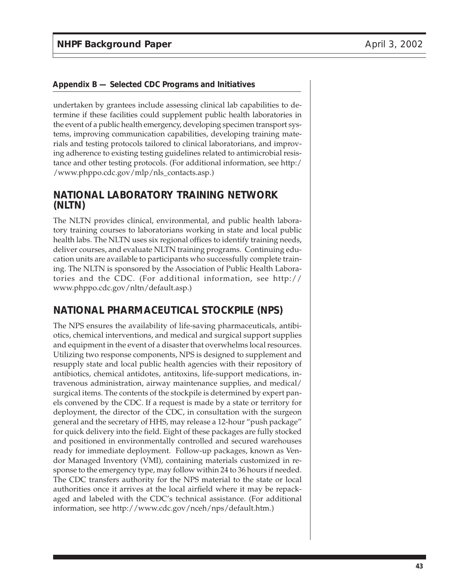undertaken by grantees include assessing clinical lab capabilities to determine if these facilities could supplement public health laboratories in the event of a public health emergency, developing specimen transport systems, improving communication capabilities, developing training materials and testing protocols tailored to clinical laboratorians, and improving adherence to existing testing guidelines related to antimicrobial resistance and other testing protocols. (For additional information, see http:/ /www.phppo.cdc.gov/mlp/nls\_contacts.asp.)

### **NATIONAL LABORATORY TRAINING NETWORK (NLTN)**

The NLTN provides clinical, environmental, and public health laboratory training courses to laboratorians working in state and local public health labs. The NLTN uses six regional offices to identify training needs, deliver courses, and evaluate NLTN training programs. Continuing education units are available to participants who successfully complete training. The NLTN is sponsored by the Association of Public Health Laboratories and the CDC. (For additional information, see http:// www.phppo.cdc.gov/nltn/default.asp.)

# **NATIONAL PHARMACEUTICAL STOCKPILE (NPS)**

The NPS ensures the availability of life-saving pharmaceuticals, antibiotics, chemical interventions, and medical and surgical support supplies and equipment in the event of a disaster that overwhelms local resources. Utilizing two response components, NPS is designed to supplement and resupply state and local public health agencies with their repository of antibiotics, chemical antidotes, antitoxins, life-support medications, intravenous administration, airway maintenance supplies, and medical/ surgical items. The contents of the stockpile is determined by expert panels convened by the CDC. If a request is made by a state or territory for deployment, the director of the CDC, in consultation with the surgeon general and the secretary of HHS, may release a 12-hour "push package" for quick delivery into the field. Eight of these packages are fully stocked and positioned in environmentally controlled and secured warehouses ready for immediate deployment. Follow-up packages, known as Vendor Managed Inventory (VMI), containing materials customized in response to the emergency type, may follow within 24 to 36 hours if needed. The CDC transfers authority for the NPS material to the state or local authorities once it arrives at the local airfield where it may be repackaged and labeled with the CDC's technical assistance. (For additional information, see http://www.cdc.gov/nceh/nps/default.htm.)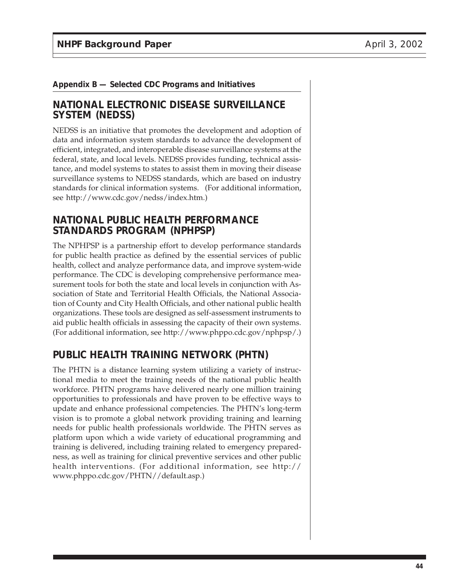### **NATIONAL ELECTRONIC DISEASE SURVEILLANCE SYSTEM (NEDSS)**

NEDSS is an initiative that promotes the development and adoption of data and information system standards to advance the development of efficient, integrated, and interoperable disease surveillance systems at the federal, state, and local levels. NEDSS provides funding, technical assistance, and model systems to states to assist them in moving their disease surveillance systems to NEDSS standards, which are based on industry standards for clinical information systems. (For additional information, see http://www.cdc.gov/nedss/index.htm.)

# **NATIONAL PUBLIC HEALTH PERFORMANCE STANDARDS PROGRAM (NPHPSP)**

The NPHPSP is a partnership effort to develop performance standards for public health practice as defined by the essential services of public health, collect and analyze performance data, and improve system-wide performance. The CDC is developing comprehensive performance measurement tools for both the state and local levels in conjunction with Association of State and Territorial Health Officials, the National Association of County and City Health Officials, and other national public health organizations. These tools are designed as self-assessment instruments to aid public health officials in assessing the capacity of their own systems. (For additional information, see http://www.phppo.cdc.gov/nphpsp/.)

# **PUBLIC HEALTH TRAINING NETWORK (PHTN)**

The PHTN is a distance learning system utilizing a variety of instructional media to meet the training needs of the national public health workforce. PHTN programs have delivered nearly one million training opportunities to professionals and have proven to be effective ways to update and enhance professional competencies. The PHTN's long-term vision is to promote a global network providing training and learning needs for public health professionals worldwide. The PHTN serves as platform upon which a wide variety of educational programming and training is delivered, including training related to emergency preparedness, as well as training for clinical preventive services and other public health interventions. (For additional information, see http:// www.phppo.cdc.gov/PHTN//default.asp.)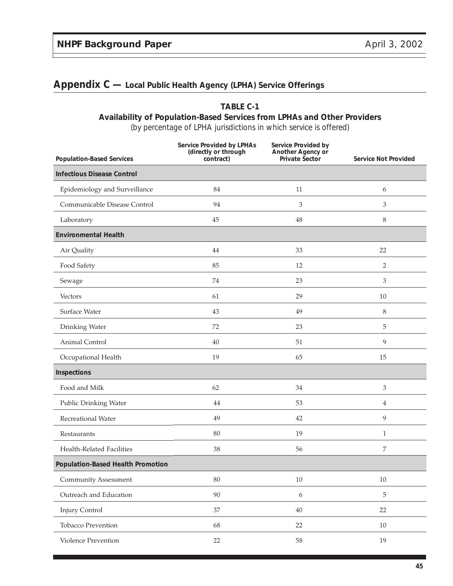# **Appendix C — Local Public Health Agency (LPHA) Service Offerings**

### **TABLE C-1 Availability of Population-Based Services from LPHAs and Other Providers**

| <b>Population-Based Services</b>         | <b>Service Provided by LPHAs</b><br>(directly or through<br>contract) | Service Provided by<br>Another Agency or<br>Private Sector | <b>Service Not Provided</b> |
|------------------------------------------|-----------------------------------------------------------------------|------------------------------------------------------------|-----------------------------|
| <b>Infectious Disease Control</b>        |                                                                       |                                                            |                             |
| Epidemiology and Surveillance            | 84                                                                    | 11                                                         | 6                           |
| Communicable Disease Control             | 94                                                                    | 3                                                          | 3                           |
| Laboratory                               | 45                                                                    | 48                                                         | 8                           |
| <b>Environmental Health</b>              |                                                                       |                                                            |                             |
| Air Quality                              | 44                                                                    | 33                                                         | 22                          |
| Food Safety                              | 85                                                                    | 12                                                         | 2                           |
| Sewage                                   | 74                                                                    | 23                                                         | 3                           |
| Vectors                                  | 61                                                                    | 29                                                         | 10                          |
| Surface Water                            | 43                                                                    | 49                                                         | 8                           |
| Drinking Water                           | 72                                                                    | 23                                                         | 5                           |
| Animal Control                           | 40                                                                    | 51                                                         | 9                           |
| Occupational Health                      | 19                                                                    | 65                                                         | 15                          |
| Inspections                              |                                                                       |                                                            |                             |
| Food and Milk                            | 62                                                                    | 34                                                         | 3                           |
| Public Drinking Water                    | 44                                                                    | 53                                                         | 4                           |
| Recreational Water                       | 49                                                                    | 42                                                         | 9                           |
| Restaurants                              | 80                                                                    | 19                                                         | 1                           |
| Health-Related Facilities                | 38                                                                    | 56                                                         | 7                           |
| <b>Population-Based Health Promotion</b> |                                                                       |                                                            |                             |
| <b>Community Assessment</b>              | $80\,$                                                                | $10\,$                                                     | $10\,$                      |
| Outreach and Education                   | 90                                                                    | $\boldsymbol{6}$                                           | 5                           |
| <b>Injury Control</b>                    | 37                                                                    | $40\,$                                                     | 22                          |
| <b>Tobacco Prevention</b>                | 68                                                                    | $22\,$                                                     | 10                          |
| Violence Prevention                      | 22                                                                    | $58\,$                                                     | 19                          |

(by percentage of LPHA jurisdictions in which service is offered)